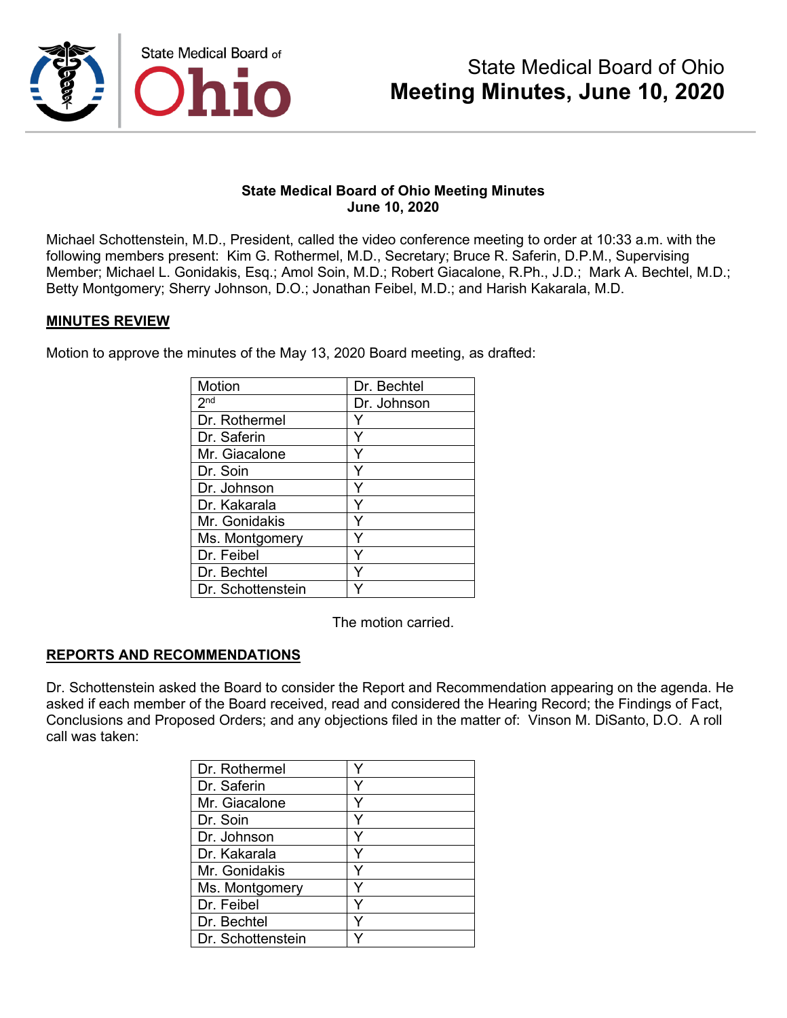

#### **State Medical Board of Ohio Meeting Minutes June 10, 2020**

Michael Schottenstein, M.D., President, called the video conference meeting to order at 10:33 a.m. with the following members present: Kim G. Rothermel, M.D., Secretary; Bruce R. Saferin, D.P.M., Supervising Member; Michael L. Gonidakis, Esq.; Amol Soin, M.D.; Robert Giacalone, R.Ph., J.D.; Mark A. Bechtel, M.D.; Betty Montgomery; Sherry Johnson, D.O.; Jonathan Feibel, M.D.; and Harish Kakarala, M.D.

### **MINUTES REVIEW**

Motion to approve the minutes of the May 13, 2020 Board meeting, as drafted:

| <b>Motion</b>     | Dr. Bechtel |
|-------------------|-------------|
| 2 <sub>nd</sub>   | Dr. Johnson |
| Dr. Rothermel     |             |
| Dr. Saferin       | Υ           |
| Mr. Giacalone     |             |
| Dr. Soin          |             |
| Dr. Johnson       | Y           |
| Dr. Kakarala      | Y           |
| Mr. Gonidakis     |             |
| Ms. Montgomery    |             |
| Dr. Feibel        | Y           |
| Dr. Bechtel       |             |
| Dr. Schottenstein |             |

The motion carried.

## **REPORTS AND RECOMMENDATIONS**

Dr. Schottenstein asked the Board to consider the Report and Recommendation appearing on the agenda. He asked if each member of the Board received, read and considered the Hearing Record; the Findings of Fact, Conclusions and Proposed Orders; and any objections filed in the matter of: Vinson M. DiSanto, D.O. A roll call was taken:

| Dr. Rothermel     |  |
|-------------------|--|
| Dr. Saferin       |  |
| Mr. Giacalone     |  |
| Dr. Soin          |  |
| Dr. Johnson       |  |
| Dr. Kakarala      |  |
| Mr. Gonidakis     |  |
| Ms. Montgomery    |  |
| Dr. Feibel        |  |
| Dr. Bechtel       |  |
| Dr. Schottenstein |  |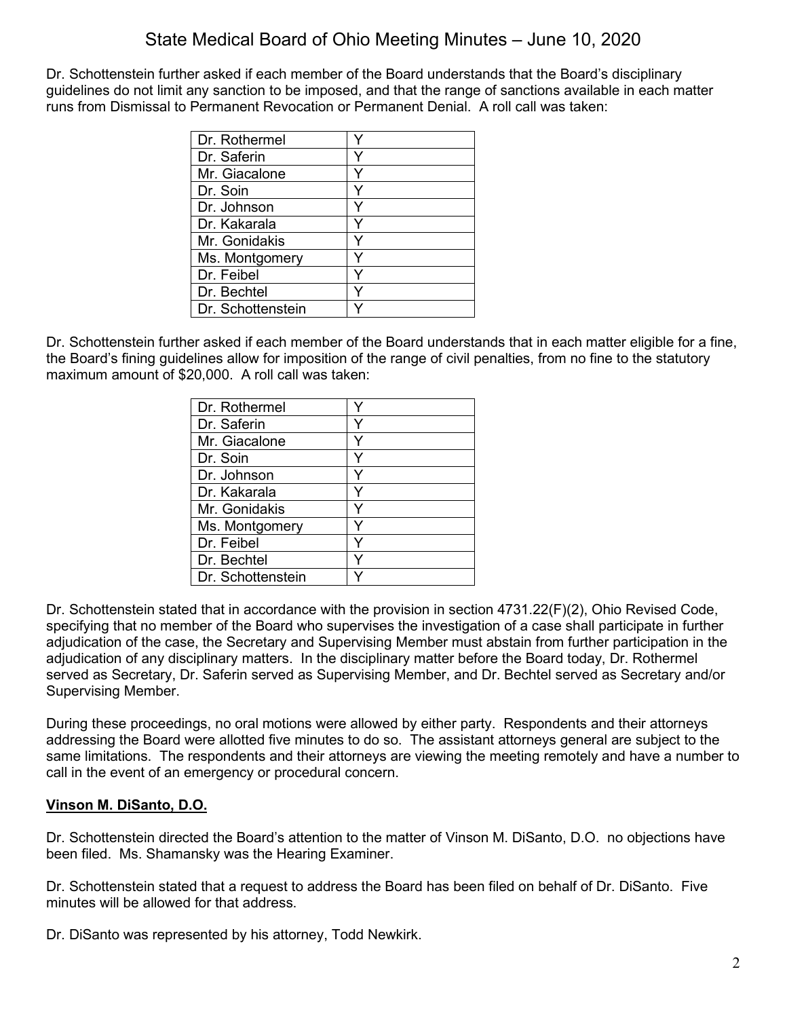Dr. Schottenstein further asked if each member of the Board understands that the Board's disciplinary guidelines do not limit any sanction to be imposed, and that the range of sanctions available in each matter runs from Dismissal to Permanent Revocation or Permanent Denial. A roll call was taken:

| Dr. Rothermel     |  |
|-------------------|--|
| Dr. Saferin       |  |
| Mr. Giacalone     |  |
| Dr. Soin          |  |
| Dr. Johnson       |  |
| Dr. Kakarala      |  |
| Mr. Gonidakis     |  |
| Ms. Montgomery    |  |
| Dr. Feibel        |  |
| Dr. Bechtel       |  |
| Dr. Schottenstein |  |

Dr. Schottenstein further asked if each member of the Board understands that in each matter eligible for a fine, the Board's fining guidelines allow for imposition of the range of civil penalties, from no fine to the statutory maximum amount of \$20,000. A roll call was taken:

| Dr. Rothermel     |   |
|-------------------|---|
| Dr. Saferin       |   |
| Mr. Giacalone     | v |
| Dr. Soin          |   |
| Dr. Johnson       | ٧ |
| Dr. Kakarala      | ∨ |
| Mr. Gonidakis     |   |
| Ms. Montgomery    |   |
| Dr. Feibel        |   |
| Dr. Bechtel       |   |
| Dr. Schottenstein |   |

Dr. Schottenstein stated that in accordance with the provision in section 4731.22(F)(2), Ohio Revised Code, specifying that no member of the Board who supervises the investigation of a case shall participate in further adjudication of the case, the Secretary and Supervising Member must abstain from further participation in the adjudication of any disciplinary matters. In the disciplinary matter before the Board today, Dr. Rothermel served as Secretary, Dr. Saferin served as Supervising Member, and Dr. Bechtel served as Secretary and/or Supervising Member.

During these proceedings, no oral motions were allowed by either party. Respondents and their attorneys addressing the Board were allotted five minutes to do so. The assistant attorneys general are subject to the same limitations. The respondents and their attorneys are viewing the meeting remotely and have a number to call in the event of an emergency or procedural concern.

## **Vinson M. DiSanto, D.O.**

Dr. Schottenstein directed the Board's attention to the matter of Vinson M. DiSanto, D.O. no objections have been filed. Ms. Shamansky was the Hearing Examiner.

Dr. Schottenstein stated that a request to address the Board has been filed on behalf of Dr. DiSanto. Five minutes will be allowed for that address.

Dr. DiSanto was represented by his attorney, Todd Newkirk.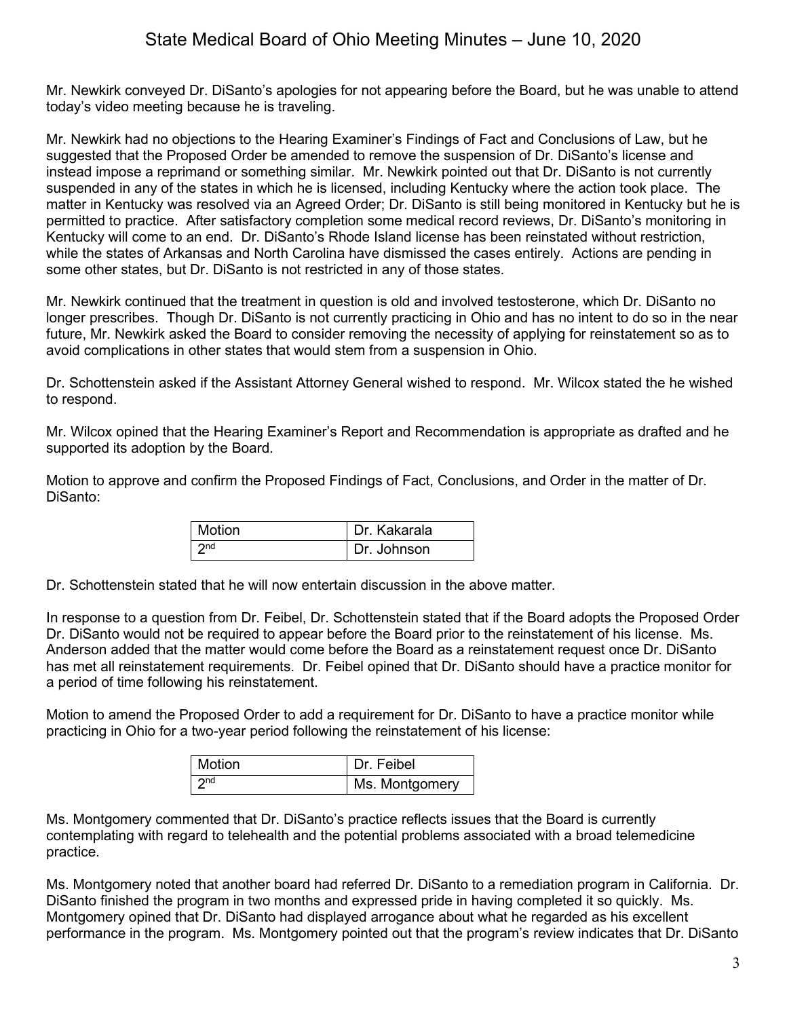Mr. Newkirk conveyed Dr. DiSanto's apologies for not appearing before the Board, but he was unable to attend today's video meeting because he is traveling.

Mr. Newkirk had no objections to the Hearing Examiner's Findings of Fact and Conclusions of Law, but he suggested that the Proposed Order be amended to remove the suspension of Dr. DiSanto's license and instead impose a reprimand or something similar. Mr. Newkirk pointed out that Dr. DiSanto is not currently suspended in any of the states in which he is licensed, including Kentucky where the action took place. The matter in Kentucky was resolved via an Agreed Order; Dr. DiSanto is still being monitored in Kentucky but he is permitted to practice. After satisfactory completion some medical record reviews, Dr. DiSanto's monitoring in Kentucky will come to an end. Dr. DiSanto's Rhode Island license has been reinstated without restriction, while the states of Arkansas and North Carolina have dismissed the cases entirely. Actions are pending in some other states, but Dr. DiSanto is not restricted in any of those states.

Mr. Newkirk continued that the treatment in question is old and involved testosterone, which Dr. DiSanto no longer prescribes. Though Dr. DiSanto is not currently practicing in Ohio and has no intent to do so in the near future, Mr. Newkirk asked the Board to consider removing the necessity of applying for reinstatement so as to avoid complications in other states that would stem from a suspension in Ohio.

Dr. Schottenstein asked if the Assistant Attorney General wished to respond. Mr. Wilcox stated the he wished to respond.

Mr. Wilcox opined that the Hearing Examiner's Report and Recommendation is appropriate as drafted and he supported its adoption by the Board.

Motion to approve and confirm the Proposed Findings of Fact, Conclusions, and Order in the matter of Dr. DiSanto:

| <b>Motion</b>   | Dr. Kakarala |
|-----------------|--------------|
| 2n <sub>d</sub> | Dr. Johnson  |

Dr. Schottenstein stated that he will now entertain discussion in the above matter.

In response to a question from Dr. Feibel, Dr. Schottenstein stated that if the Board adopts the Proposed Order Dr. DiSanto would not be required to appear before the Board prior to the reinstatement of his license. Ms. Anderson added that the matter would come before the Board as a reinstatement request once Dr. DiSanto has met all reinstatement requirements. Dr. Feibel opined that Dr. DiSanto should have a practice monitor for a period of time following his reinstatement.

Motion to amend the Proposed Order to add a requirement for Dr. DiSanto to have a practice monitor while practicing in Ohio for a two-year period following the reinstatement of his license:

| <b>Motion</b> | Dr. Feibel     |
|---------------|----------------|
| つnd           | Ms. Montgomery |

Ms. Montgomery commented that Dr. DiSanto's practice reflects issues that the Board is currently contemplating with regard to telehealth and the potential problems associated with a broad telemedicine practice.

Ms. Montgomery noted that another board had referred Dr. DiSanto to a remediation program in California. Dr. DiSanto finished the program in two months and expressed pride in having completed it so quickly. Ms. Montgomery opined that Dr. DiSanto had displayed arrogance about what he regarded as his excellent performance in the program. Ms. Montgomery pointed out that the program's review indicates that Dr. DiSanto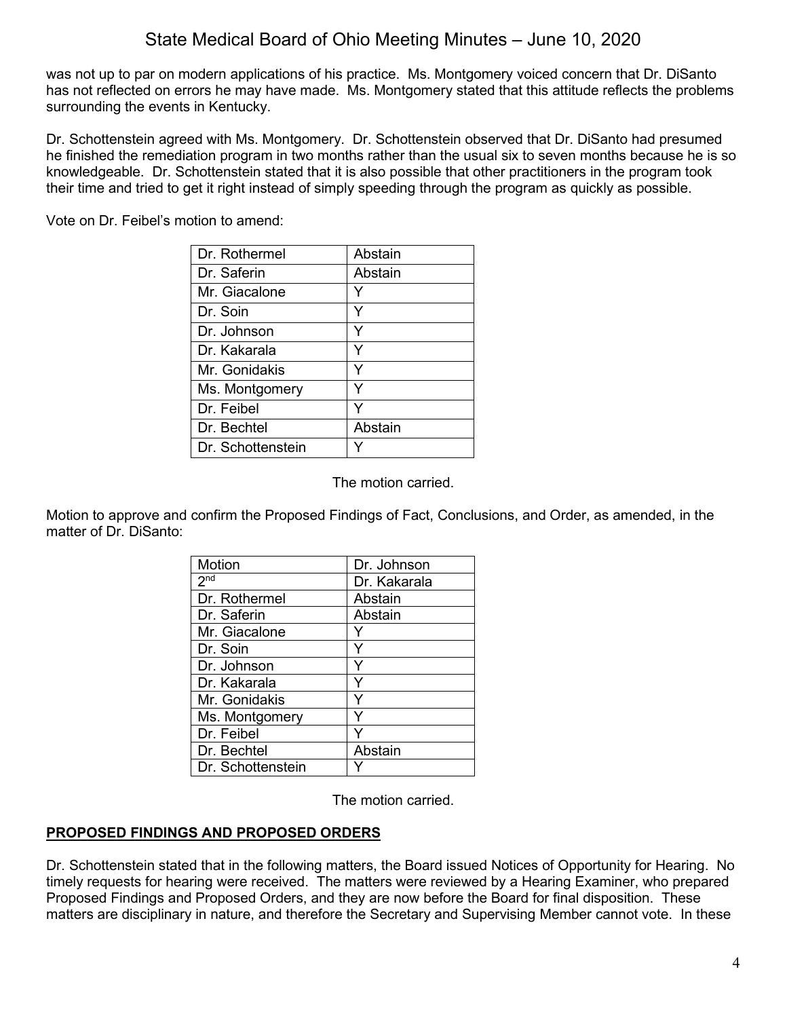was not up to par on modern applications of his practice. Ms. Montgomery voiced concern that Dr. DiSanto has not reflected on errors he may have made. Ms. Montgomery stated that this attitude reflects the problems surrounding the events in Kentucky.

Dr. Schottenstein agreed with Ms. Montgomery. Dr. Schottenstein observed that Dr. DiSanto had presumed he finished the remediation program in two months rather than the usual six to seven months because he is so knowledgeable. Dr. Schottenstein stated that it is also possible that other practitioners in the program took their time and tried to get it right instead of simply speeding through the program as quickly as possible.

Vote on Dr. Feibel's motion to amend:

| Dr. Rothermel     | Abstain |
|-------------------|---------|
| Dr. Saferin       | Abstain |
| Mr. Giacalone     |         |
| Dr. Soin          | Y       |
| Dr. Johnson       | Y       |
| Dr. Kakarala      | Y       |
| Mr. Gonidakis     | Y       |
| Ms. Montgomery    | Y       |
| Dr. Feibel        |         |
| Dr. Bechtel       | Abstain |
| Dr. Schottenstein |         |

The motion carried.

Motion to approve and confirm the Proposed Findings of Fact, Conclusions, and Order, as amended, in the matter of Dr. DiSanto:

| Motion            | Dr. Johnson  |
|-------------------|--------------|
| 2 <sup>nd</sup>   | Dr. Kakarala |
| Dr. Rothermel     | Abstain      |
| Dr. Saferin       | Abstain      |
| Mr. Giacalone     |              |
| Dr. Soin          |              |
| Dr. Johnson       | Y            |
| Dr. Kakarala      | Y            |
| Mr. Gonidakis     | Y            |
| Ms. Montgomery    | ٧            |
| Dr. Feibel        |              |
| Dr. Bechtel       | Abstain      |
| Dr. Schottenstein |              |

The motion carried.

## **PROPOSED FINDINGS AND PROPOSED ORDERS**

Dr. Schottenstein stated that in the following matters, the Board issued Notices of Opportunity for Hearing. No timely requests for hearing were received. The matters were reviewed by a Hearing Examiner, who prepared Proposed Findings and Proposed Orders, and they are now before the Board for final disposition. These matters are disciplinary in nature, and therefore the Secretary and Supervising Member cannot vote. In these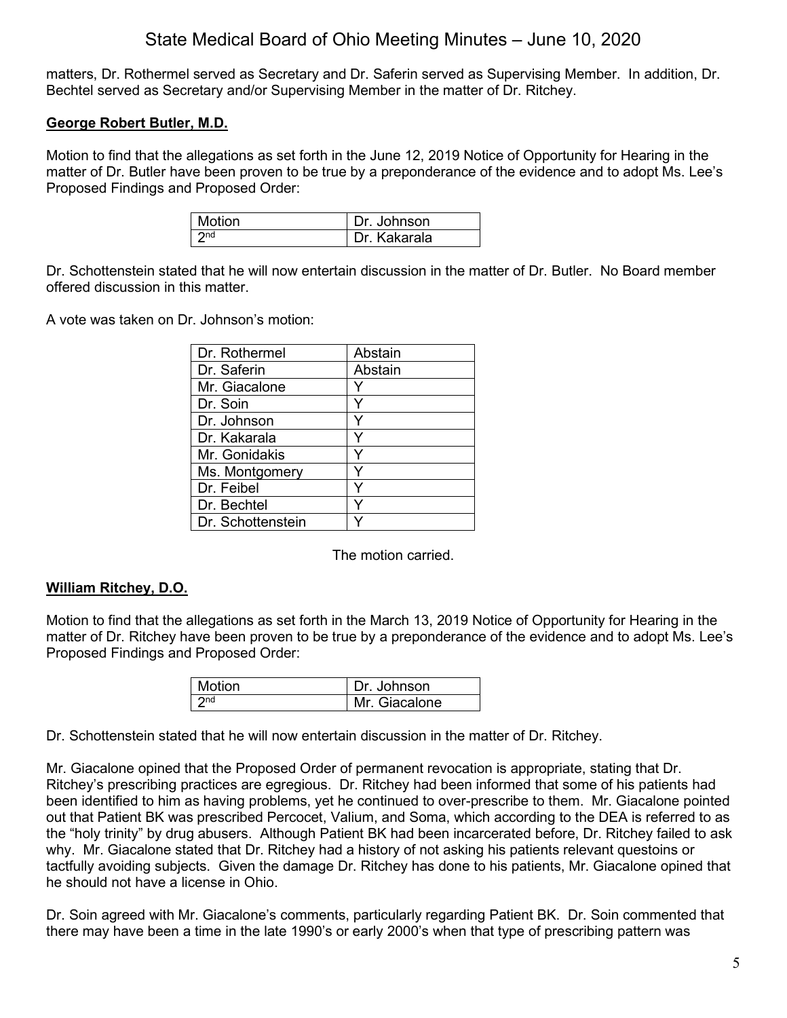matters, Dr. Rothermel served as Secretary and Dr. Saferin served as Supervising Member. In addition, Dr. Bechtel served as Secretary and/or Supervising Member in the matter of Dr. Ritchey.

### **George Robert Butler, M.D.**

Motion to find that the allegations as set forth in the June 12, 2019 Notice of Opportunity for Hearing in the matter of Dr. Butler have been proven to be true by a preponderance of the evidence and to adopt Ms. Lee's Proposed Findings and Proposed Order:

| Motion          | Dr. Johnson  |
|-----------------|--------------|
| 2n <sub>d</sub> | Dr. Kakarala |

Dr. Schottenstein stated that he will now entertain discussion in the matter of Dr. Butler. No Board member offered discussion in this matter.

A vote was taken on Dr. Johnson's motion:

| Dr. Rothermel     | Abstain |
|-------------------|---------|
| Dr. Saferin       | Abstain |
| Mr. Giacalone     |         |
| Dr. Soin          | Y       |
| Dr. Johnson       |         |
| Dr. Kakarala      | Y       |
| Mr. Gonidakis     |         |
| Ms. Montgomery    |         |
| Dr. Feibel        | ٧       |
| Dr. Bechtel       |         |
| Dr. Schottenstein |         |

The motion carried.

### **William Ritchey, D.O.**

Motion to find that the allegations as set forth in the March 13, 2019 Notice of Opportunity for Hearing in the matter of Dr. Ritchey have been proven to be true by a preponderance of the evidence and to adopt Ms. Lee's Proposed Findings and Proposed Order:

| Motion          | Dr. Johnson   |
|-----------------|---------------|
| 2n <sub>d</sub> | Mr. Giacalone |

Dr. Schottenstein stated that he will now entertain discussion in the matter of Dr. Ritchey.

Mr. Giacalone opined that the Proposed Order of permanent revocation is appropriate, stating that Dr. Ritchey's prescribing practices are egregious. Dr. Ritchey had been informed that some of his patients had been identified to him as having problems, yet he continued to over-prescribe to them. Mr. Giacalone pointed out that Patient BK was prescribed Percocet, Valium, and Soma, which according to the DEA is referred to as the "holy trinity" by drug abusers. Although Patient BK had been incarcerated before, Dr. Ritchey failed to ask why. Mr. Giacalone stated that Dr. Ritchey had a history of not asking his patients relevant questoins or tactfully avoiding subjects. Given the damage Dr. Ritchey has done to his patients, Mr. Giacalone opined that he should not have a license in Ohio.

Dr. Soin agreed with Mr. Giacalone's comments, particularly regarding Patient BK. Dr. Soin commented that there may have been a time in the late 1990's or early 2000's when that type of prescribing pattern was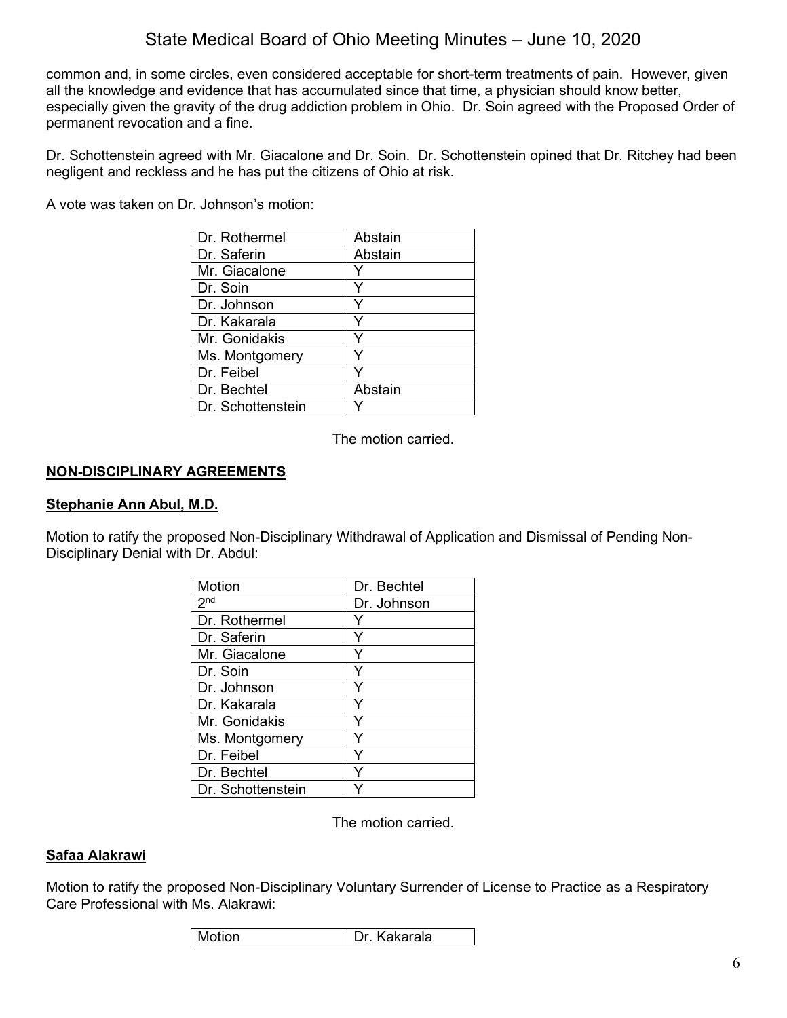common and, in some circles, even considered acceptable for short-term treatments of pain. However, given all the knowledge and evidence that has accumulated since that time, a physician should know better, especially given the gravity of the drug addiction problem in Ohio. Dr. Soin agreed with the Proposed Order of permanent revocation and a fine.

Dr. Schottenstein agreed with Mr. Giacalone and Dr. Soin. Dr. Schottenstein opined that Dr. Ritchey had been negligent and reckless and he has put the citizens of Ohio at risk.

A vote was taken on Dr. Johnson's motion:

| Dr. Rothermel     | Abstain |
|-------------------|---------|
| Dr. Saferin       | Abstain |
| Mr. Giacalone     |         |
| Dr. Soin          | Y       |
| Dr. Johnson       | Y       |
| Dr. Kakarala      | Y       |
| Mr. Gonidakis     |         |
| Ms. Montgomery    | ٧       |
| Dr. Feibel        |         |
| Dr. Bechtel       | Abstain |
| Dr. Schottenstein |         |

The motion carried.

## **NON-DISCIPLINARY AGREEMENTS**

#### **Stephanie Ann Abul, M.D.**

Motion to ratify the proposed Non-Disciplinary Withdrawal of Application and Dismissal of Pending Non-Disciplinary Denial with Dr. Abdul:

| Motion            | Dr. Bechtel |
|-------------------|-------------|
| 2 <sub>nd</sub>   | Dr. Johnson |
| Dr. Rothermel     |             |
| Dr. Saferin       | Υ           |
| Mr. Giacalone     |             |
| Dr. Soin          |             |
| Dr. Johnson       | Y           |
| Dr. Kakarala      | Y           |
| Mr. Gonidakis     | Y           |
| Ms. Montgomery    | Y           |
| Dr. Feibel        | Y           |
| Dr. Bechtel       |             |
| Dr. Schottenstein |             |

The motion carried.

### **Safaa Alakrawi**

Motion to ratify the proposed Non-Disciplinary Voluntary Surrender of License to Practice as a Respiratory Care Professional with Ms. Alakrawi:

| Motion | Kakarala |
|--------|----------|
|        | )r       |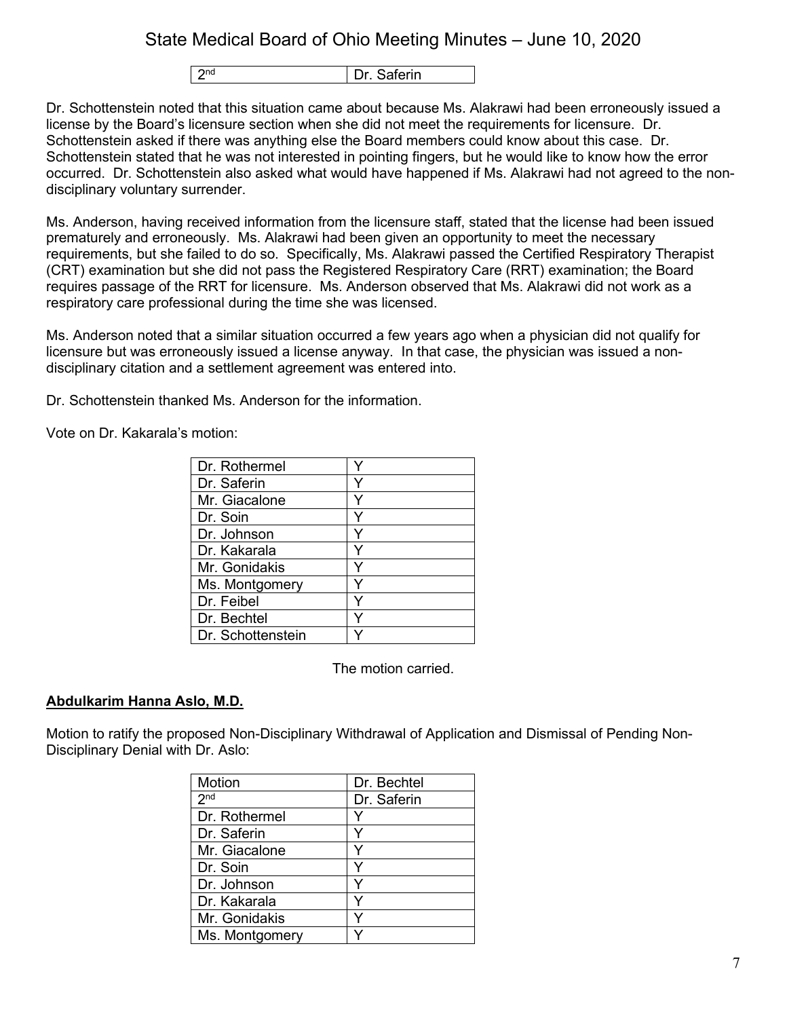2<sup>nd</sup> Dr. Saferin

Dr. Schottenstein noted that this situation came about because Ms. Alakrawi had been erroneously issued a license by the Board's licensure section when she did not meet the requirements for licensure. Dr. Schottenstein asked if there was anything else the Board members could know about this case. Dr. Schottenstein stated that he was not interested in pointing fingers, but he would like to know how the error occurred. Dr. Schottenstein also asked what would have happened if Ms. Alakrawi had not agreed to the nondisciplinary voluntary surrender.

Ms. Anderson, having received information from the licensure staff, stated that the license had been issued prematurely and erroneously. Ms. Alakrawi had been given an opportunity to meet the necessary requirements, but she failed to do so. Specifically, Ms. Alakrawi passed the Certified Respiratory Therapist (CRT) examination but she did not pass the Registered Respiratory Care (RRT) examination; the Board requires passage of the RRT for licensure. Ms. Anderson observed that Ms. Alakrawi did not work as a respiratory care professional during the time she was licensed.

Ms. Anderson noted that a similar situation occurred a few years ago when a physician did not qualify for licensure but was erroneously issued a license anyway. In that case, the physician was issued a nondisciplinary citation and a settlement agreement was entered into.

Dr. Schottenstein thanked Ms. Anderson for the information.

Vote on Dr. Kakarala's motion:

| Dr. Rothermel     |   |
|-------------------|---|
| Dr. Saferin       |   |
| Mr. Giacalone     |   |
| Dr. Soin          | Y |
| Dr. Johnson       |   |
| Dr. Kakarala      | ٧ |
| Mr. Gonidakis     |   |
| Ms. Montgomery    |   |
| Dr. Feibel        |   |
| Dr. Bechtel       |   |
| Dr. Schottenstein |   |

The motion carried.

## **Abdulkarim Hanna Aslo, M.D.**

Motion to ratify the proposed Non-Disciplinary Withdrawal of Application and Dismissal of Pending Non-Disciplinary Denial with Dr. Aslo:

| Motion          | Dr. Bechtel |
|-----------------|-------------|
| 2 <sub>nd</sub> | Dr. Saferin |
| Dr. Rothermel   | Y           |
| Dr. Saferin     | v           |
| Mr. Giacalone   | ⋎           |
| Dr. Soin        | v           |
| Dr. Johnson     |             |
| Dr. Kakarala    |             |
| Mr. Gonidakis   |             |
| Ms. Montgomery  |             |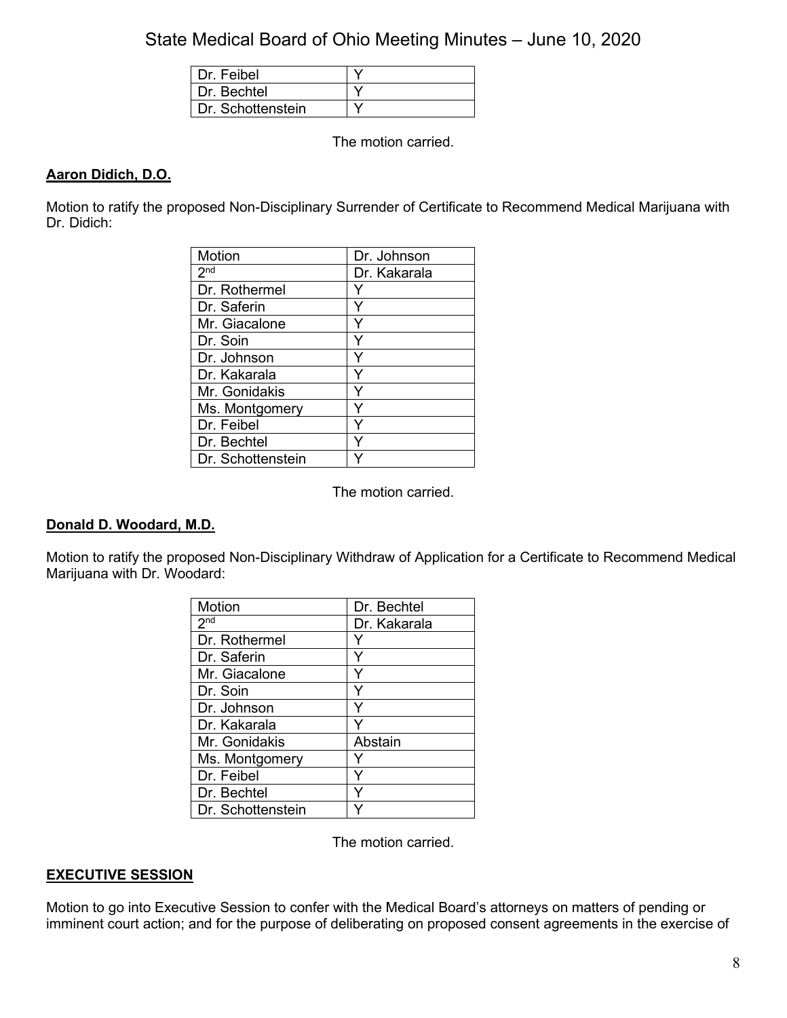| Dr. Feibel        |  |
|-------------------|--|
| Dr. Bechtel       |  |
| Dr. Schottenstein |  |

The motion carried.

## **Aaron Didich, D.O.**

Motion to ratify the proposed Non-Disciplinary Surrender of Certificate to Recommend Medical Marijuana with Dr. Didich:

| Motion            | Dr. Johnson  |
|-------------------|--------------|
| 2 <sup>nd</sup>   | Dr. Kakarala |
| Dr. Rothermel     |              |
| Dr. Saferin       | Y            |
| Mr. Giacalone     | Υ            |
| Dr. Soin          |              |
| Dr. Johnson       |              |
| Dr. Kakarala      | Y            |
| Mr. Gonidakis     | Y            |
| Ms. Montgomery    |              |
| Dr. Feibel        |              |
| Dr. Bechtel       |              |
| Dr. Schottenstein |              |

The motion carried.

## **Donald D. Woodard, M.D.**

Motion to ratify the proposed Non-Disciplinary Withdraw of Application for a Certificate to Recommend Medical Marijuana with Dr. Woodard:

| <b>Motion</b>     | Dr. Bechtel  |
|-------------------|--------------|
| 2 <sub>nd</sub>   | Dr. Kakarala |
| Dr. Rothermel     |              |
| Dr. Saferin       | ٧            |
| Mr. Giacalone     |              |
| Dr. Soin          |              |
| Dr. Johnson       | ٧            |
| Dr. Kakarala      |              |
| Mr. Gonidakis     | Abstain      |
| Ms. Montgomery    |              |
| Dr. Feibel        | ٧            |
| Dr. Bechtel       |              |
| Dr. Schottenstein |              |

The motion carried.

## **EXECUTIVE SESSION**

Motion to go into Executive Session to confer with the Medical Board's attorneys on matters of pending or imminent court action; and for the purpose of deliberating on proposed consent agreements in the exercise of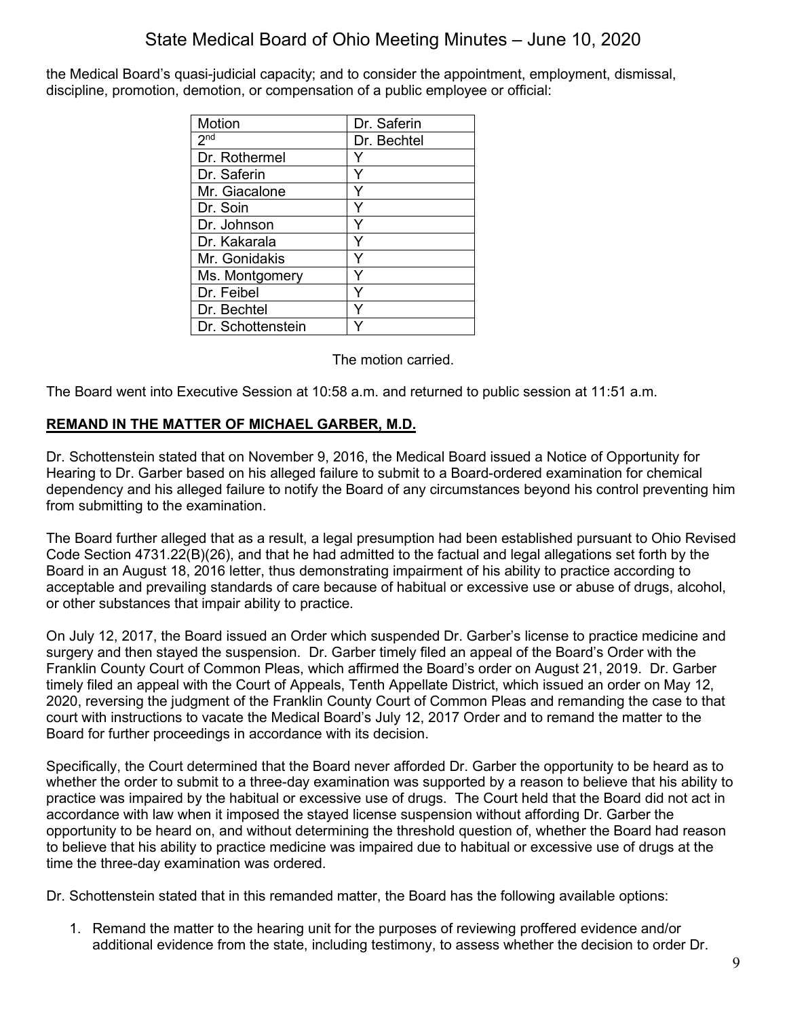the Medical Board's quasi-judicial capacity; and to consider the appointment, employment, dismissal, discipline, promotion, demotion, or compensation of a public employee or official:

| <b>Motion</b>     | Dr. Saferin |
|-------------------|-------------|
| 2 <sup>nd</sup>   | Dr. Bechtel |
| Dr. Rothermel     | v           |
| Dr. Saferin       | γ           |
| Mr. Giacalone     |             |
| Dr. Soin          |             |
| Dr. Johnson       |             |
| Dr. Kakarala      |             |
| Mr. Gonidakis     |             |
| Ms. Montgomery    | v           |
| Dr. Feibel        |             |
| Dr. Bechtel       |             |
| Dr. Schottenstein |             |

The motion carried.

The Board went into Executive Session at 10:58 a.m. and returned to public session at 11:51 a.m.

### **REMAND IN THE MATTER OF MICHAEL GARBER, M.D.**

Dr. Schottenstein stated that on November 9, 2016, the Medical Board issued a Notice of Opportunity for Hearing to Dr. Garber based on his alleged failure to submit to a Board-ordered examination for chemical dependency and his alleged failure to notify the Board of any circumstances beyond his control preventing him from submitting to the examination.

The Board further alleged that as a result, a legal presumption had been established pursuant to Ohio Revised Code Section 4731.22(B)(26), and that he had admitted to the factual and legal allegations set forth by the Board in an August 18, 2016 letter, thus demonstrating impairment of his ability to practice according to acceptable and prevailing standards of care because of habitual or excessive use or abuse of drugs, alcohol, or other substances that impair ability to practice.

On July 12, 2017, the Board issued an Order which suspended Dr. Garber's license to practice medicine and surgery and then stayed the suspension. Dr. Garber timely filed an appeal of the Board's Order with the Franklin County Court of Common Pleas, which affirmed the Board's order on August 21, 2019. Dr. Garber timely filed an appeal with the Court of Appeals, Tenth Appellate District, which issued an order on May 12, 2020, reversing the judgment of the Franklin County Court of Common Pleas and remanding the case to that court with instructions to vacate the Medical Board's July 12, 2017 Order and to remand the matter to the Board for further proceedings in accordance with its decision.

Specifically, the Court determined that the Board never afforded Dr. Garber the opportunity to be heard as to whether the order to submit to a three-day examination was supported by a reason to believe that his ability to practice was impaired by the habitual or excessive use of drugs. The Court held that the Board did not act in accordance with law when it imposed the stayed license suspension without affording Dr. Garber the opportunity to be heard on, and without determining the threshold question of, whether the Board had reason to believe that his ability to practice medicine was impaired due to habitual or excessive use of drugs at the time the three-day examination was ordered.

Dr. Schottenstein stated that in this remanded matter, the Board has the following available options:

1. Remand the matter to the hearing unit for the purposes of reviewing proffered evidence and/or additional evidence from the state, including testimony, to assess whether the decision to order Dr.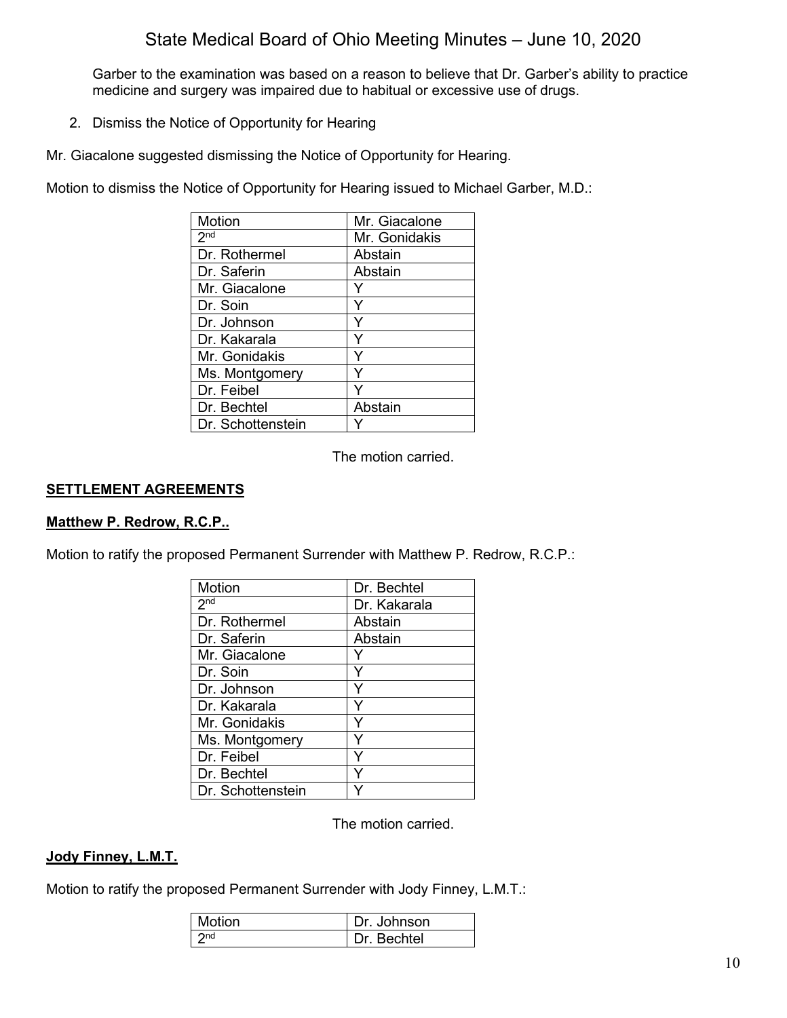Garber to the examination was based on a reason to believe that Dr. Garber's ability to practice medicine and surgery was impaired due to habitual or excessive use of drugs.

2. Dismiss the Notice of Opportunity for Hearing

Mr. Giacalone suggested dismissing the Notice of Opportunity for Hearing.

Motion to dismiss the Notice of Opportunity for Hearing issued to Michael Garber, M.D.:

| Motion            | Mr. Giacalone |
|-------------------|---------------|
| 2 <sub>nd</sub>   | Mr. Gonidakis |
| Dr. Rothermel     | Abstain       |
| Dr. Saferin       | Abstain       |
| Mr. Giacalone     |               |
| Dr. Soin          | Y             |
| Dr. Johnson       | Y             |
| Dr. Kakarala      | Y             |
| Mr. Gonidakis     | Y             |
| Ms. Montgomery    |               |
| Dr. Feibel        |               |
| Dr. Bechtel       | Abstain       |
| Dr. Schottenstein |               |

The motion carried.

### **SETTLEMENT AGREEMENTS**

### **Matthew P. Redrow, R.C.P..**

Motion to ratify the proposed Permanent Surrender with Matthew P. Redrow, R.C.P.:

| Motion            | Dr. Bechtel  |
|-------------------|--------------|
| 2 <sup>nd</sup>   | Dr. Kakarala |
| Dr. Rothermel     | Abstain      |
| Dr. Saferin       | Abstain      |
| Mr. Giacalone     |              |
| Dr. Soin          |              |
| Dr. Johnson       | Y            |
| Dr. Kakarala      | Y            |
| Mr. Gonidakis     | Y            |
| Ms. Montgomery    | Y            |
| Dr. Feibel        | Y            |
| Dr. Bechtel       | ⋎            |
| Dr. Schottenstein |              |

The motion carried.

### **Jody Finney, L.M.T.**

Motion to ratify the proposed Permanent Surrender with Jody Finney, L.M.T.:

| <b>Motion</b> | Dr. Johnson |
|---------------|-------------|
| nd Jnd        | Dr Bechtel  |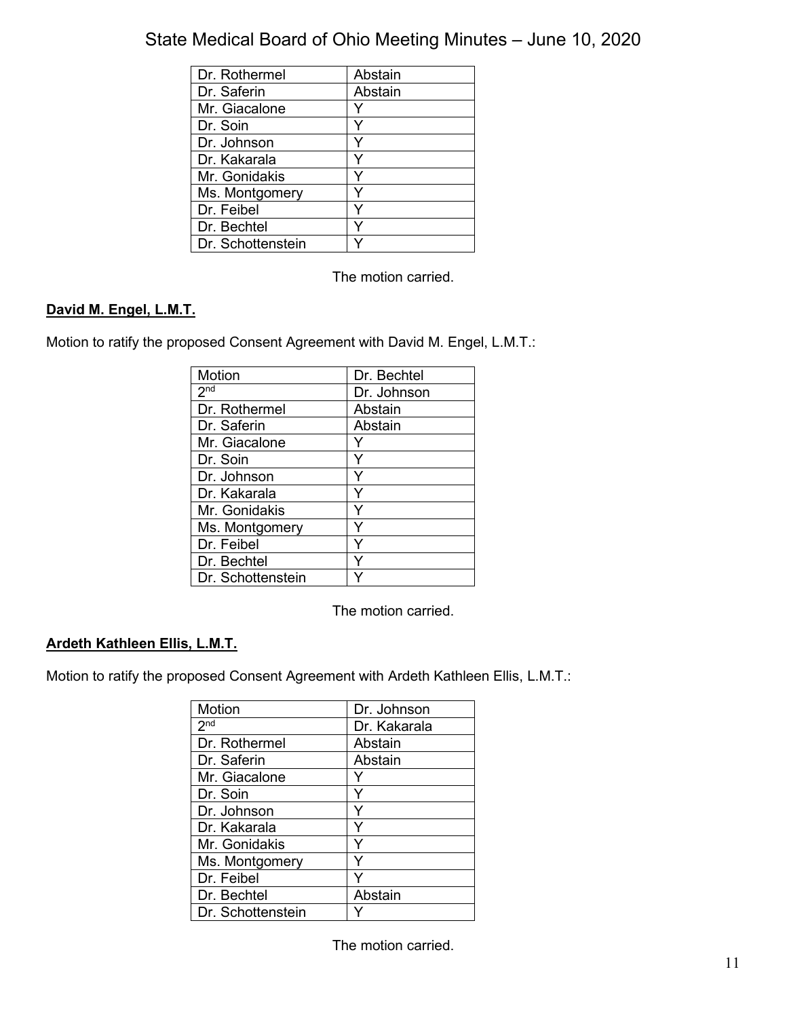| Dr. Rothermel     | Abstain |
|-------------------|---------|
| Dr. Saferin       | Abstain |
| Mr. Giacalone     |         |
| Dr. Soin          |         |
| Dr. Johnson       |         |
| Dr. Kakarala      |         |
| Mr. Gonidakis     |         |
| Ms. Montgomery    |         |
| Dr. Feibel        |         |
| Dr. Bechtel       |         |
| Dr. Schottenstein |         |

The motion carried.

## **David M. Engel, L.M.T.**

Motion to ratify the proposed Consent Agreement with David M. Engel, L.M.T.:

| Motion            | Dr. Bechtel |
|-------------------|-------------|
| 2 <sup>nd</sup>   | Dr. Johnson |
| Dr. Rothermel     | Abstain     |
| Dr. Saferin       | Abstain     |
| Mr. Giacalone     |             |
| Dr. Soin          | Y           |
| Dr. Johnson       |             |
| Dr. Kakarala      | Y           |
| Mr. Gonidakis     | Y           |
| Ms. Montgomery    |             |
| Dr. Feibel        | Υ           |
| Dr. Bechtel       |             |
| Dr. Schottenstein |             |

The motion carried.

## **Ardeth Kathleen Ellis, L.M.T.**

Motion to ratify the proposed Consent Agreement with Ardeth Kathleen Ellis, L.M.T.:

| Motion            | Dr. Johnson  |
|-------------------|--------------|
| 2 <sup>nd</sup>   | Dr. Kakarala |
| Dr. Rothermel     | Abstain      |
| Dr. Saferin       | Abstain      |
| Mr. Giacalone     |              |
| Dr. Soin          | Y            |
| Dr. Johnson       |              |
| Dr. Kakarala      | Υ            |
| Mr. Gonidakis     | Y            |
| Ms. Montgomery    |              |
| Dr. Feibel        | Y            |
| Dr. Bechtel       | Abstain      |
| Dr. Schottenstein |              |

The motion carried.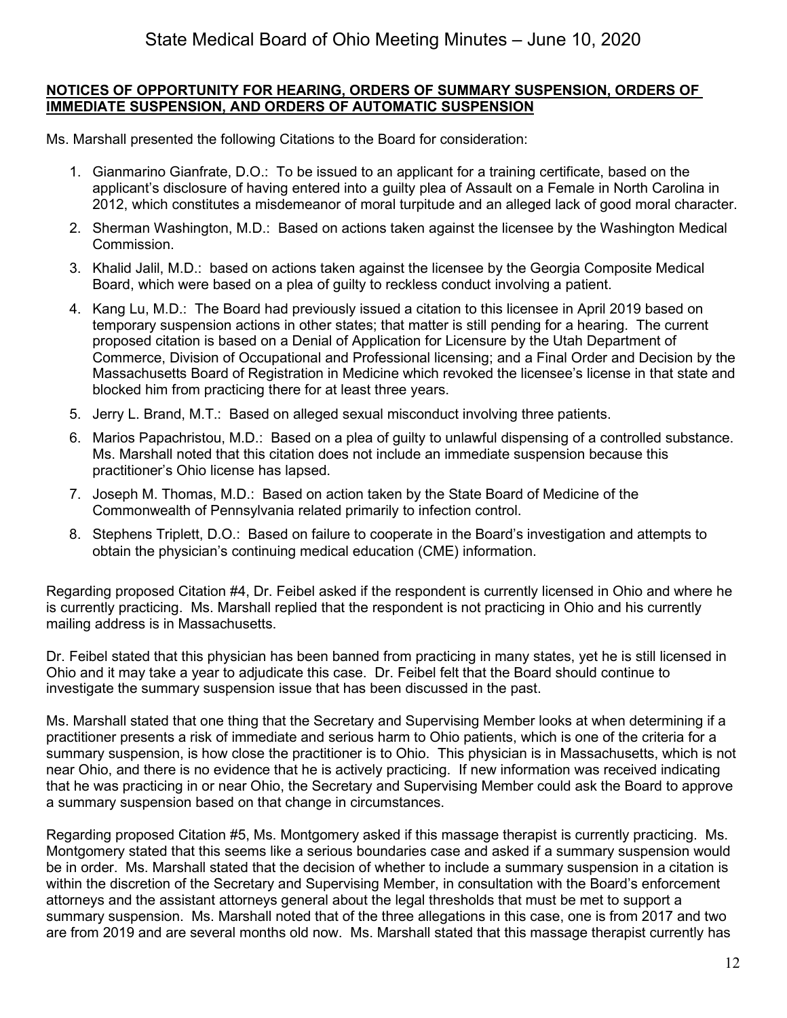### **NOTICES OF OPPORTUNITY FOR HEARING, ORDERS OF SUMMARY SUSPENSION, ORDERS OF IMMEDIATE SUSPENSION, AND ORDERS OF AUTOMATIC SUSPENSION**

Ms. Marshall presented the following Citations to the Board for consideration:

- 1. Gianmarino Gianfrate, D.O.: To be issued to an applicant for a training certificate, based on the applicant's disclosure of having entered into a guilty plea of Assault on a Female in North Carolina in 2012, which constitutes a misdemeanor of moral turpitude and an alleged lack of good moral character.
- 2. Sherman Washington, M.D.: Based on actions taken against the licensee by the Washington Medical Commission.
- 3. Khalid Jalil, M.D.: based on actions taken against the licensee by the Georgia Composite Medical Board, which were based on a plea of guilty to reckless conduct involving a patient.
- 4. Kang Lu, M.D.: The Board had previously issued a citation to this licensee in April 2019 based on temporary suspension actions in other states; that matter is still pending for a hearing. The current proposed citation is based on a Denial of Application for Licensure by the Utah Department of Commerce, Division of Occupational and Professional licensing; and a Final Order and Decision by the Massachusetts Board of Registration in Medicine which revoked the licensee's license in that state and blocked him from practicing there for at least three years.
- 5. Jerry L. Brand, M.T.: Based on alleged sexual misconduct involving three patients.
- 6. Marios Papachristou, M.D.: Based on a plea of guilty to unlawful dispensing of a controlled substance. Ms. Marshall noted that this citation does not include an immediate suspension because this practitioner's Ohio license has lapsed.
- 7. Joseph M. Thomas, M.D.: Based on action taken by the State Board of Medicine of the Commonwealth of Pennsylvania related primarily to infection control.
- 8. Stephens Triplett, D.O.: Based on failure to cooperate in the Board's investigation and attempts to obtain the physician's continuing medical education (CME) information.

Regarding proposed Citation #4, Dr. Feibel asked if the respondent is currently licensed in Ohio and where he is currently practicing. Ms. Marshall replied that the respondent is not practicing in Ohio and his currently mailing address is in Massachusetts.

Dr. Feibel stated that this physician has been banned from practicing in many states, yet he is still licensed in Ohio and it may take a year to adjudicate this case. Dr. Feibel felt that the Board should continue to investigate the summary suspension issue that has been discussed in the past.

Ms. Marshall stated that one thing that the Secretary and Supervising Member looks at when determining if a practitioner presents a risk of immediate and serious harm to Ohio patients, which is one of the criteria for a summary suspension, is how close the practitioner is to Ohio. This physician is in Massachusetts, which is not near Ohio, and there is no evidence that he is actively practicing. If new information was received indicating that he was practicing in or near Ohio, the Secretary and Supervising Member could ask the Board to approve a summary suspension based on that change in circumstances.

Regarding proposed Citation #5, Ms. Montgomery asked if this massage therapist is currently practicing. Ms. Montgomery stated that this seems like a serious boundaries case and asked if a summary suspension would be in order. Ms. Marshall stated that the decision of whether to include a summary suspension in a citation is within the discretion of the Secretary and Supervising Member, in consultation with the Board's enforcement attorneys and the assistant attorneys general about the legal thresholds that must be met to support a summary suspension. Ms. Marshall noted that of the three allegations in this case, one is from 2017 and two are from 2019 and are several months old now. Ms. Marshall stated that this massage therapist currently has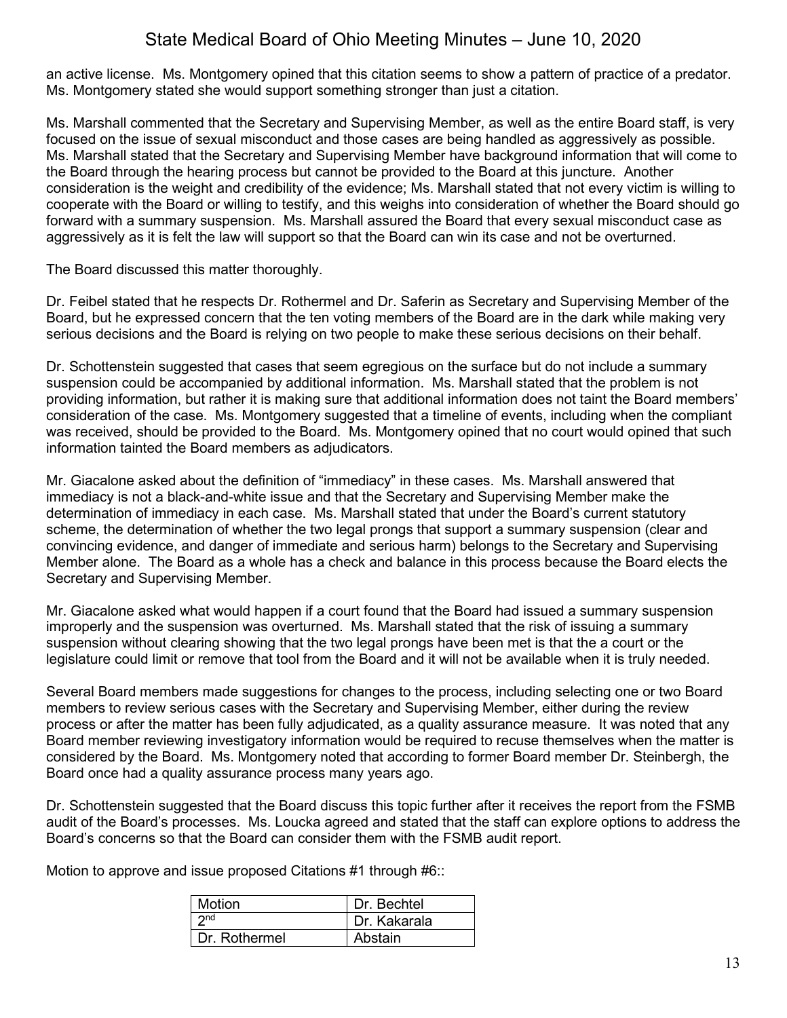an active license. Ms. Montgomery opined that this citation seems to show a pattern of practice of a predator. Ms. Montgomery stated she would support something stronger than just a citation.

Ms. Marshall commented that the Secretary and Supervising Member, as well as the entire Board staff, is very focused on the issue of sexual misconduct and those cases are being handled as aggressively as possible. Ms. Marshall stated that the Secretary and Supervising Member have background information that will come to the Board through the hearing process but cannot be provided to the Board at this juncture. Another consideration is the weight and credibility of the evidence; Ms. Marshall stated that not every victim is willing to cooperate with the Board or willing to testify, and this weighs into consideration of whether the Board should go forward with a summary suspension. Ms. Marshall assured the Board that every sexual misconduct case as aggressively as it is felt the law will support so that the Board can win its case and not be overturned.

The Board discussed this matter thoroughly.

Dr. Feibel stated that he respects Dr. Rothermel and Dr. Saferin as Secretary and Supervising Member of the Board, but he expressed concern that the ten voting members of the Board are in the dark while making very serious decisions and the Board is relying on two people to make these serious decisions on their behalf.

Dr. Schottenstein suggested that cases that seem egregious on the surface but do not include a summary suspension could be accompanied by additional information. Ms. Marshall stated that the problem is not providing information, but rather it is making sure that additional information does not taint the Board members' consideration of the case. Ms. Montgomery suggested that a timeline of events, including when the compliant was received, should be provided to the Board. Ms. Montgomery opined that no court would opined that such information tainted the Board members as adjudicators.

Mr. Giacalone asked about the definition of "immediacy" in these cases. Ms. Marshall answered that immediacy is not a black-and-white issue and that the Secretary and Supervising Member make the determination of immediacy in each case. Ms. Marshall stated that under the Board's current statutory scheme, the determination of whether the two legal prongs that support a summary suspension (clear and convincing evidence, and danger of immediate and serious harm) belongs to the Secretary and Supervising Member alone. The Board as a whole has a check and balance in this process because the Board elects the Secretary and Supervising Member.

Mr. Giacalone asked what would happen if a court found that the Board had issued a summary suspension improperly and the suspension was overturned. Ms. Marshall stated that the risk of issuing a summary suspension without clearing showing that the two legal prongs have been met is that the a court or the legislature could limit or remove that tool from the Board and it will not be available when it is truly needed.

Several Board members made suggestions for changes to the process, including selecting one or two Board members to review serious cases with the Secretary and Supervising Member, either during the review process or after the matter has been fully adjudicated, as a quality assurance measure. It was noted that any Board member reviewing investigatory information would be required to recuse themselves when the matter is considered by the Board. Ms. Montgomery noted that according to former Board member Dr. Steinbergh, the Board once had a quality assurance process many years ago.

Dr. Schottenstein suggested that the Board discuss this topic further after it receives the report from the FSMB audit of the Board's processes. Ms. Loucka agreed and stated that the staff can explore options to address the Board's concerns so that the Board can consider them with the FSMB audit report.

Motion to approve and issue proposed Citations #1 through #6::

| Motion          | Dr. Bechtel  |
|-----------------|--------------|
| 2 <sub>nd</sub> | Dr. Kakarala |
| Dr. Rothermel   | Abstain      |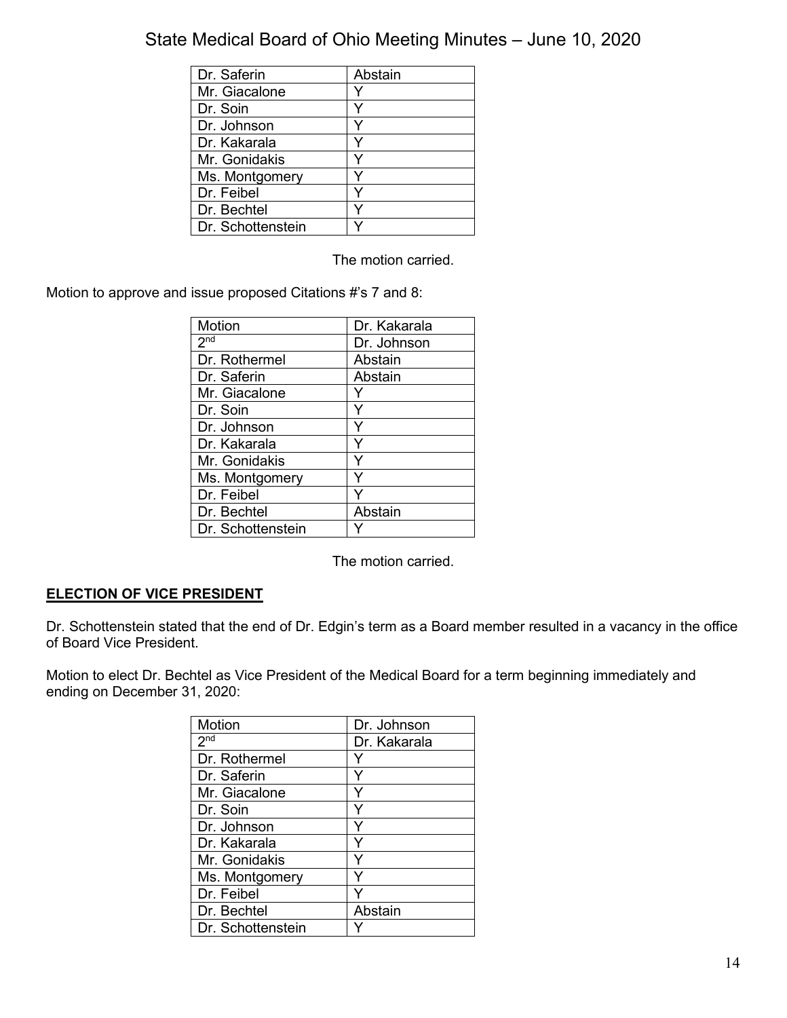| Dr. Saferin       | Abstain |
|-------------------|---------|
| Mr. Giacalone     | v       |
| Dr. Soin          |         |
| Dr. Johnson       |         |
| Dr. Kakarala      | ٧       |
| Mr. Gonidakis     |         |
| Ms. Montgomery    |         |
| Dr. Feibel        | ∨       |
| Dr. Bechtel       |         |
| Dr. Schottenstein |         |

The motion carried.

Motion to approve and issue proposed Citations #'s 7 and 8:

| Motion            | Dr. Kakarala |
|-------------------|--------------|
| 2 <sup>nd</sup>   | Dr. Johnson  |
| Dr. Rothermel     | Abstain      |
| Dr. Saferin       | Abstain      |
| Mr. Giacalone     |              |
| Dr. Soin          | Y            |
| Dr. Johnson       | Y            |
| Dr. Kakarala      | Y            |
| Mr. Gonidakis     |              |
| Ms. Montgomery    | Υ            |
| Dr. Feibel        |              |
| Dr. Bechtel       | Abstain      |
| Dr. Schottenstein |              |

The motion carried.

## **ELECTION OF VICE PRESIDENT**

Dr. Schottenstein stated that the end of Dr. Edgin's term as a Board member resulted in a vacancy in the office of Board Vice President.

Motion to elect Dr. Bechtel as Vice President of the Medical Board for a term beginning immediately and ending on December 31, 2020:

| Motion            | Dr. Johnson  |
|-------------------|--------------|
| 2 <sup>nd</sup>   | Dr. Kakarala |
| Dr. Rothermel     |              |
| Dr. Saferin       | ٧            |
| Mr. Giacalone     | Y            |
| Dr. Soin          |              |
| Dr. Johnson       |              |
| Dr. Kakarala      | ٧            |
| Mr. Gonidakis     | Y            |
| Ms. Montgomery    | v            |
| Dr. Feibel        |              |
| Dr. Bechtel       | Abstain      |
| Dr. Schottenstein |              |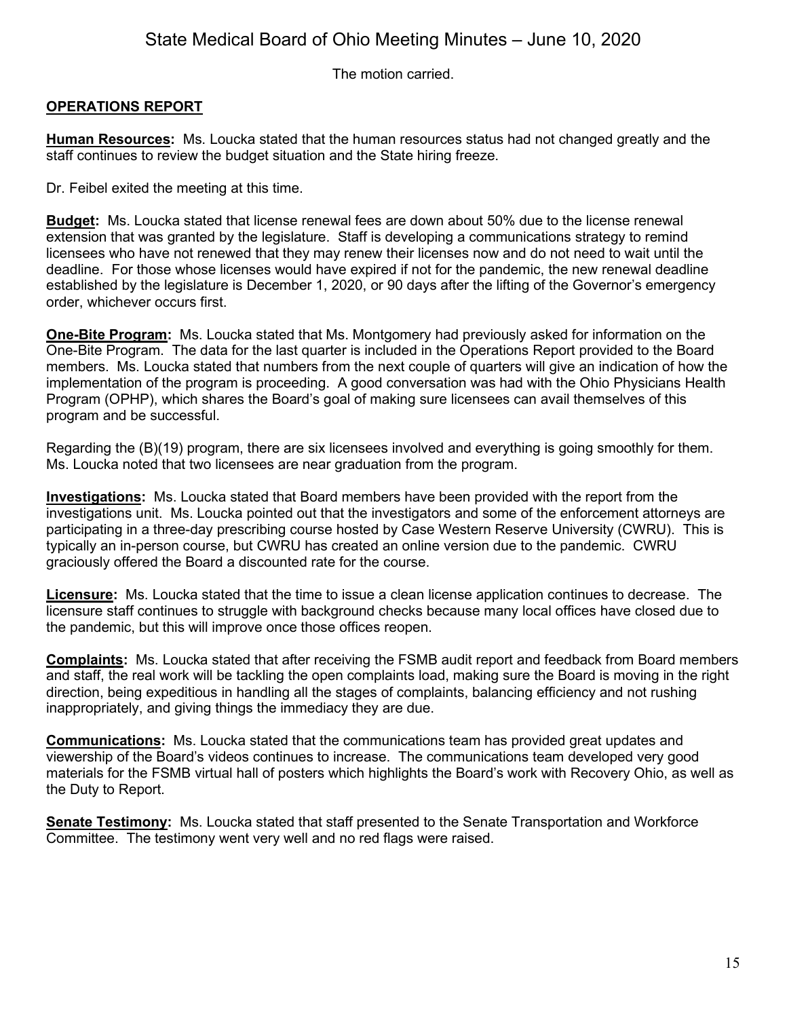The motion carried.

## **OPERATIONS REPORT**

**Human Resources:** Ms. Loucka stated that the human resources status had not changed greatly and the staff continues to review the budget situation and the State hiring freeze.

Dr. Feibel exited the meeting at this time.

**Budget:** Ms. Loucka stated that license renewal fees are down about 50% due to the license renewal extension that was granted by the legislature. Staff is developing a communications strategy to remind licensees who have not renewed that they may renew their licenses now and do not need to wait until the deadline. For those whose licenses would have expired if not for the pandemic, the new renewal deadline established by the legislature is December 1, 2020, or 90 days after the lifting of the Governor's emergency order, whichever occurs first.

**One-Bite Program:** Ms. Loucka stated that Ms. Montgomery had previously asked for information on the One-Bite Program. The data for the last quarter is included in the Operations Report provided to the Board members. Ms. Loucka stated that numbers from the next couple of quarters will give an indication of how the implementation of the program is proceeding. A good conversation was had with the Ohio Physicians Health Program (OPHP), which shares the Board's goal of making sure licensees can avail themselves of this program and be successful.

Regarding the (B)(19) program, there are six licensees involved and everything is going smoothly for them. Ms. Loucka noted that two licensees are near graduation from the program.

**Investigations:** Ms. Loucka stated that Board members have been provided with the report from the investigations unit. Ms. Loucka pointed out that the investigators and some of the enforcement attorneys are participating in a three-day prescribing course hosted by Case Western Reserve University (CWRU). This is typically an in-person course, but CWRU has created an online version due to the pandemic. CWRU graciously offered the Board a discounted rate for the course.

**Licensure:** Ms. Loucka stated that the time to issue a clean license application continues to decrease. The licensure staff continues to struggle with background checks because many local offices have closed due to the pandemic, but this will improve once those offices reopen.

**Complaints:** Ms. Loucka stated that after receiving the FSMB audit report and feedback from Board members and staff, the real work will be tackling the open complaints load, making sure the Board is moving in the right direction, being expeditious in handling all the stages of complaints, balancing efficiency and not rushing inappropriately, and giving things the immediacy they are due.

**Communications:** Ms. Loucka stated that the communications team has provided great updates and viewership of the Board's videos continues to increase. The communications team developed very good materials for the FSMB virtual hall of posters which highlights the Board's work with Recovery Ohio, as well as the Duty to Report.

**Senate Testimony:** Ms. Loucka stated that staff presented to the Senate Transportation and Workforce Committee. The testimony went very well and no red flags were raised.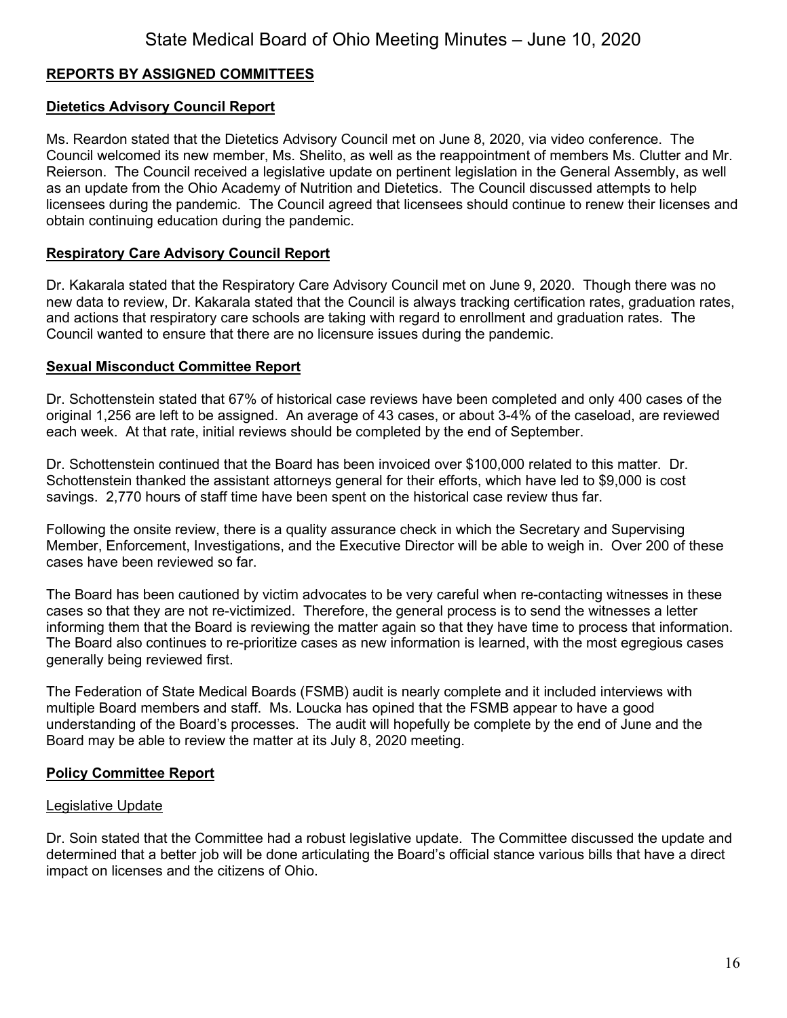## **REPORTS BY ASSIGNED COMMITTEES**

### **Dietetics Advisory Council Report**

Ms. Reardon stated that the Dietetics Advisory Council met on June 8, 2020, via video conference. The Council welcomed its new member, Ms. Shelito, as well as the reappointment of members Ms. Clutter and Mr. Reierson. The Council received a legislative update on pertinent legislation in the General Assembly, as well as an update from the Ohio Academy of Nutrition and Dietetics. The Council discussed attempts to help licensees during the pandemic. The Council agreed that licensees should continue to renew their licenses and obtain continuing education during the pandemic.

### **Respiratory Care Advisory Council Report**

Dr. Kakarala stated that the Respiratory Care Advisory Council met on June 9, 2020. Though there was no new data to review, Dr. Kakarala stated that the Council is always tracking certification rates, graduation rates, and actions that respiratory care schools are taking with regard to enrollment and graduation rates. The Council wanted to ensure that there are no licensure issues during the pandemic.

### **Sexual Misconduct Committee Report**

Dr. Schottenstein stated that 67% of historical case reviews have been completed and only 400 cases of the original 1,256 are left to be assigned. An average of 43 cases, or about 3-4% of the caseload, are reviewed each week. At that rate, initial reviews should be completed by the end of September.

Dr. Schottenstein continued that the Board has been invoiced over \$100,000 related to this matter. Dr. Schottenstein thanked the assistant attorneys general for their efforts, which have led to \$9,000 is cost savings. 2,770 hours of staff time have been spent on the historical case review thus far.

Following the onsite review, there is a quality assurance check in which the Secretary and Supervising Member, Enforcement, Investigations, and the Executive Director will be able to weigh in. Over 200 of these cases have been reviewed so far.

The Board has been cautioned by victim advocates to be very careful when re-contacting witnesses in these cases so that they are not re-victimized. Therefore, the general process is to send the witnesses a letter informing them that the Board is reviewing the matter again so that they have time to process that information. The Board also continues to re-prioritize cases as new information is learned, with the most egregious cases generally being reviewed first.

The Federation of State Medical Boards (FSMB) audit is nearly complete and it included interviews with multiple Board members and staff. Ms. Loucka has opined that the FSMB appear to have a good understanding of the Board's processes. The audit will hopefully be complete by the end of June and the Board may be able to review the matter at its July 8, 2020 meeting.

## **Policy Committee Report**

### Legislative Update

Dr. Soin stated that the Committee had a robust legislative update. The Committee discussed the update and determined that a better job will be done articulating the Board's official stance various bills that have a direct impact on licenses and the citizens of Ohio.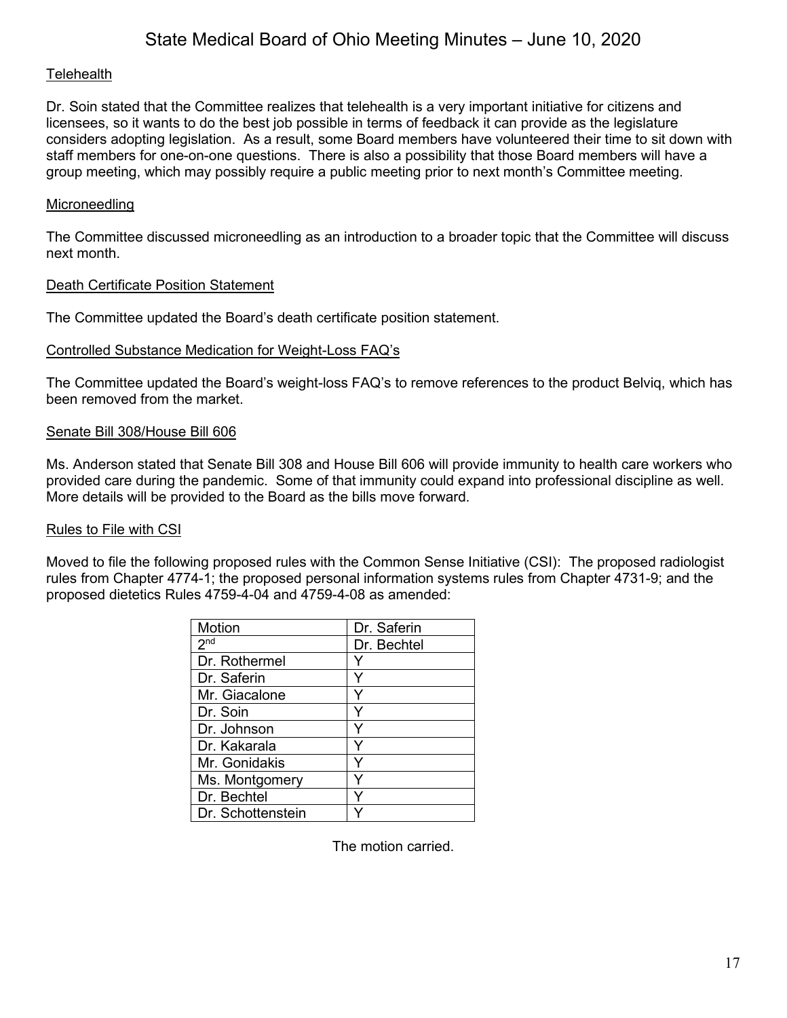### **Telehealth**

Dr. Soin stated that the Committee realizes that telehealth is a very important initiative for citizens and licensees, so it wants to do the best job possible in terms of feedback it can provide as the legislature considers adopting legislation. As a result, some Board members have volunteered their time to sit down with staff members for one-on-one questions. There is also a possibility that those Board members will have a group meeting, which may possibly require a public meeting prior to next month's Committee meeting.

#### **Microneedling**

The Committee discussed microneedling as an introduction to a broader topic that the Committee will discuss next month.

#### Death Certificate Position Statement

The Committee updated the Board's death certificate position statement.

#### Controlled Substance Medication for Weight-Loss FAQ's

The Committee updated the Board's weight-loss FAQ's to remove references to the product Belviq, which has been removed from the market.

#### Senate Bill 308/House Bill 606

Ms. Anderson stated that Senate Bill 308 and House Bill 606 will provide immunity to health care workers who provided care during the pandemic. Some of that immunity could expand into professional discipline as well. More details will be provided to the Board as the bills move forward.

### Rules to File with CSI

Moved to file the following proposed rules with the Common Sense Initiative (CSI): The proposed radiologist rules from Chapter 4774-1; the proposed personal information systems rules from Chapter 4731-9; and the proposed dietetics Rules 4759-4-04 and 4759-4-08 as amended:

| Motion            | Dr. Saferin |
|-------------------|-------------|
| 2 <sup>nd</sup>   | Dr. Bechtel |
| Dr. Rothermel     |             |
| Dr. Saferin       |             |
| Mr. Giacalone     |             |
| Dr. Soin          |             |
| Dr. Johnson       |             |
| Dr. Kakarala      |             |
| Mr. Gonidakis     |             |
| Ms. Montgomery    |             |
| Dr. Bechtel       |             |
| Dr. Schottenstein |             |

The motion carried.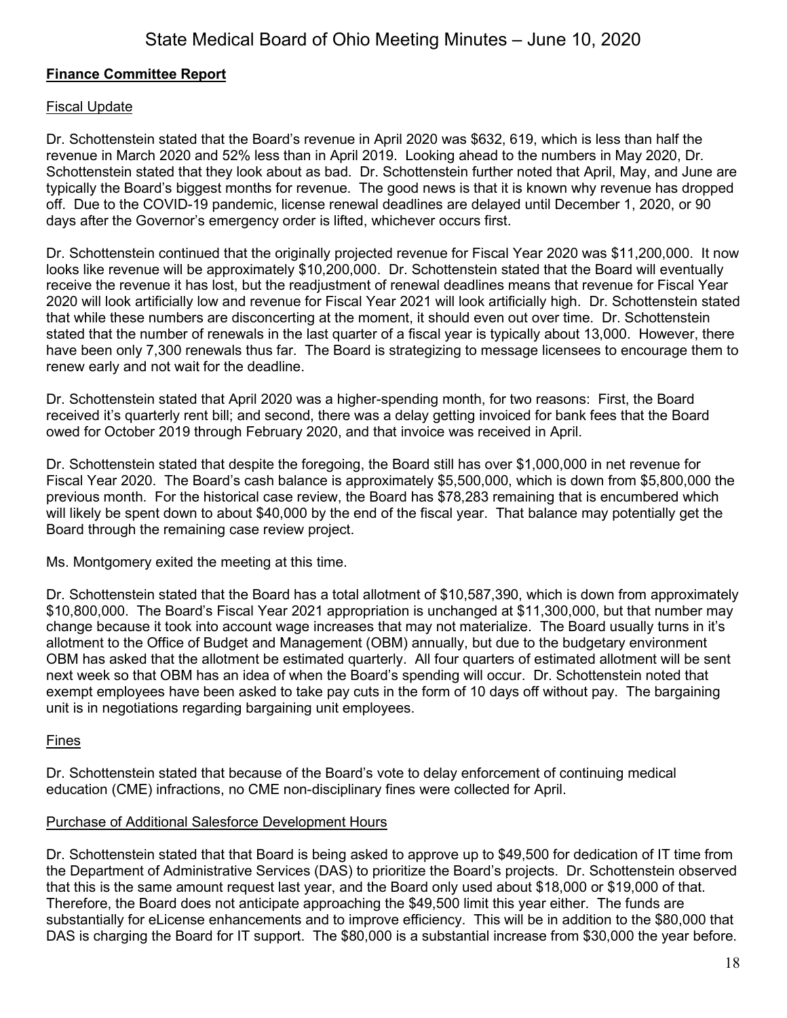## **Finance Committee Report**

## Fiscal Update

Dr. Schottenstein stated that the Board's revenue in April 2020 was \$632, 619, which is less than half the revenue in March 2020 and 52% less than in April 2019. Looking ahead to the numbers in May 2020, Dr. Schottenstein stated that they look about as bad. Dr. Schottenstein further noted that April, May, and June are typically the Board's biggest months for revenue. The good news is that it is known why revenue has dropped off. Due to the COVID-19 pandemic, license renewal deadlines are delayed until December 1, 2020, or 90 days after the Governor's emergency order is lifted, whichever occurs first.

Dr. Schottenstein continued that the originally projected revenue for Fiscal Year 2020 was \$11,200,000. It now looks like revenue will be approximately \$10,200,000. Dr. Schottenstein stated that the Board will eventually receive the revenue it has lost, but the readjustment of renewal deadlines means that revenue for Fiscal Year 2020 will look artificially low and revenue for Fiscal Year 2021 will look artificially high. Dr. Schottenstein stated that while these numbers are disconcerting at the moment, it should even out over time. Dr. Schottenstein stated that the number of renewals in the last quarter of a fiscal year is typically about 13,000. However, there have been only 7,300 renewals thus far. The Board is strategizing to message licensees to encourage them to renew early and not wait for the deadline.

Dr. Schottenstein stated that April 2020 was a higher-spending month, for two reasons: First, the Board received it's quarterly rent bill; and second, there was a delay getting invoiced for bank fees that the Board owed for October 2019 through February 2020, and that invoice was received in April.

Dr. Schottenstein stated that despite the foregoing, the Board still has over \$1,000,000 in net revenue for Fiscal Year 2020. The Board's cash balance is approximately \$5,500,000, which is down from \$5,800,000 the previous month. For the historical case review, the Board has \$78,283 remaining that is encumbered which will likely be spent down to about \$40,000 by the end of the fiscal year. That balance may potentially get the Board through the remaining case review project.

Ms. Montgomery exited the meeting at this time.

Dr. Schottenstein stated that the Board has a total allotment of \$10,587,390, which is down from approximately \$10,800,000. The Board's Fiscal Year 2021 appropriation is unchanged at \$11,300,000, but that number may change because it took into account wage increases that may not materialize. The Board usually turns in it's allotment to the Office of Budget and Management (OBM) annually, but due to the budgetary environment OBM has asked that the allotment be estimated quarterly. All four quarters of estimated allotment will be sent next week so that OBM has an idea of when the Board's spending will occur. Dr. Schottenstein noted that exempt employees have been asked to take pay cuts in the form of 10 days off without pay. The bargaining unit is in negotiations regarding bargaining unit employees.

### Fines

Dr. Schottenstein stated that because of the Board's vote to delay enforcement of continuing medical education (CME) infractions, no CME non-disciplinary fines were collected for April.

### Purchase of Additional Salesforce Development Hours

Dr. Schottenstein stated that that Board is being asked to approve up to \$49,500 for dedication of IT time from the Department of Administrative Services (DAS) to prioritize the Board's projects. Dr. Schottenstein observed that this is the same amount request last year, and the Board only used about \$18,000 or \$19,000 of that. Therefore, the Board does not anticipate approaching the \$49,500 limit this year either. The funds are substantially for eLicense enhancements and to improve efficiency. This will be in addition to the \$80,000 that DAS is charging the Board for IT support. The \$80,000 is a substantial increase from \$30,000 the year before.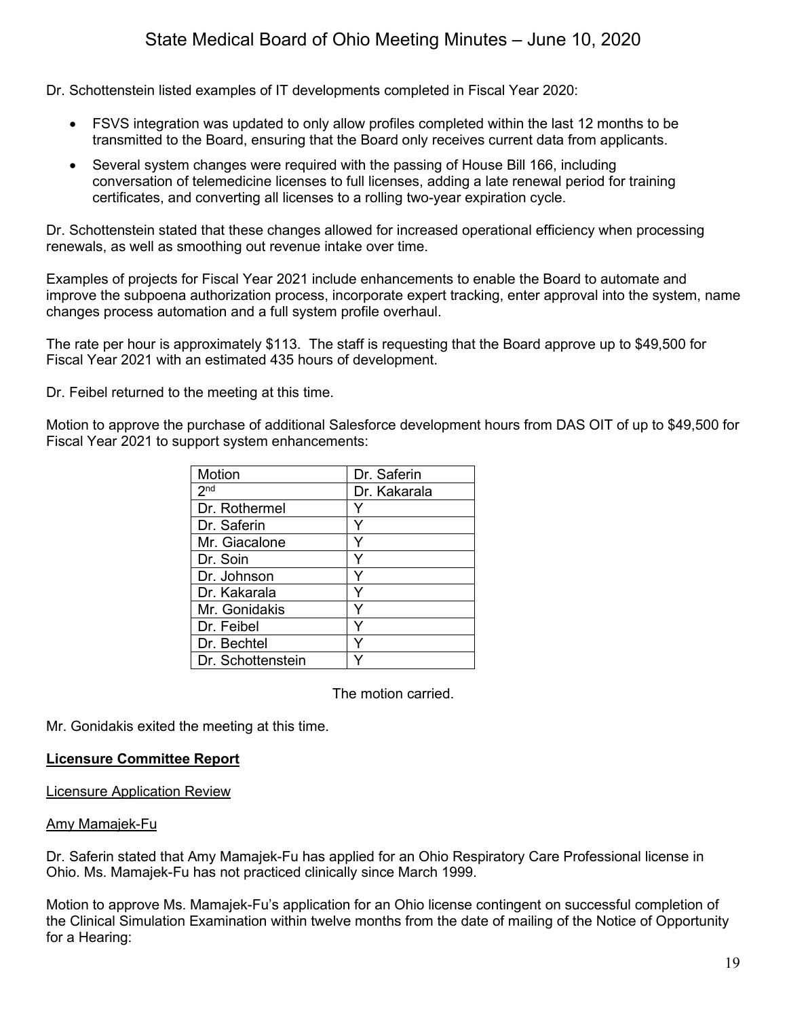Dr. Schottenstein listed examples of IT developments completed in Fiscal Year 2020:

- FSVS integration was updated to only allow profiles completed within the last 12 months to be transmitted to the Board, ensuring that the Board only receives current data from applicants.
- Several system changes were required with the passing of House Bill 166, including conversation of telemedicine licenses to full licenses, adding a late renewal period for training certificates, and converting all licenses to a rolling two-year expiration cycle.

Dr. Schottenstein stated that these changes allowed for increased operational efficiency when processing renewals, as well as smoothing out revenue intake over time.

Examples of projects for Fiscal Year 2021 include enhancements to enable the Board to automate and improve the subpoena authorization process, incorporate expert tracking, enter approval into the system, name changes process automation and a full system profile overhaul.

The rate per hour is approximately \$113. The staff is requesting that the Board approve up to \$49,500 for Fiscal Year 2021 with an estimated 435 hours of development.

Dr. Feibel returned to the meeting at this time.

Motion to approve the purchase of additional Salesforce development hours from DAS OIT of up to \$49,500 for Fiscal Year 2021 to support system enhancements:

| Motion            | Dr. Saferin  |
|-------------------|--------------|
| 2 <sub>nd</sub>   | Dr. Kakarala |
| Dr. Rothermel     |              |
| Dr. Saferin       |              |
| Mr. Giacalone     |              |
| Dr. Soin          |              |
| Dr. Johnson       |              |
| Dr. Kakarala      |              |
| Mr. Gonidakis     |              |
| Dr. Feibel        |              |
| Dr. Bechtel       |              |
| Dr. Schottenstein |              |

The motion carried.

Mr. Gonidakis exited the meeting at this time.

### **Licensure Committee Report**

Licensure Application Review

## Amy Mamajek-Fu

Dr. Saferin stated that Amy Mamajek-Fu has applied for an Ohio Respiratory Care Professional license in Ohio. Ms. Mamajek-Fu has not practiced clinically since March 1999.

Motion to approve Ms. Mamajek-Fu's application for an Ohio license contingent on successful completion of the Clinical Simulation Examination within twelve months from the date of mailing of the Notice of Opportunity for a Hearing: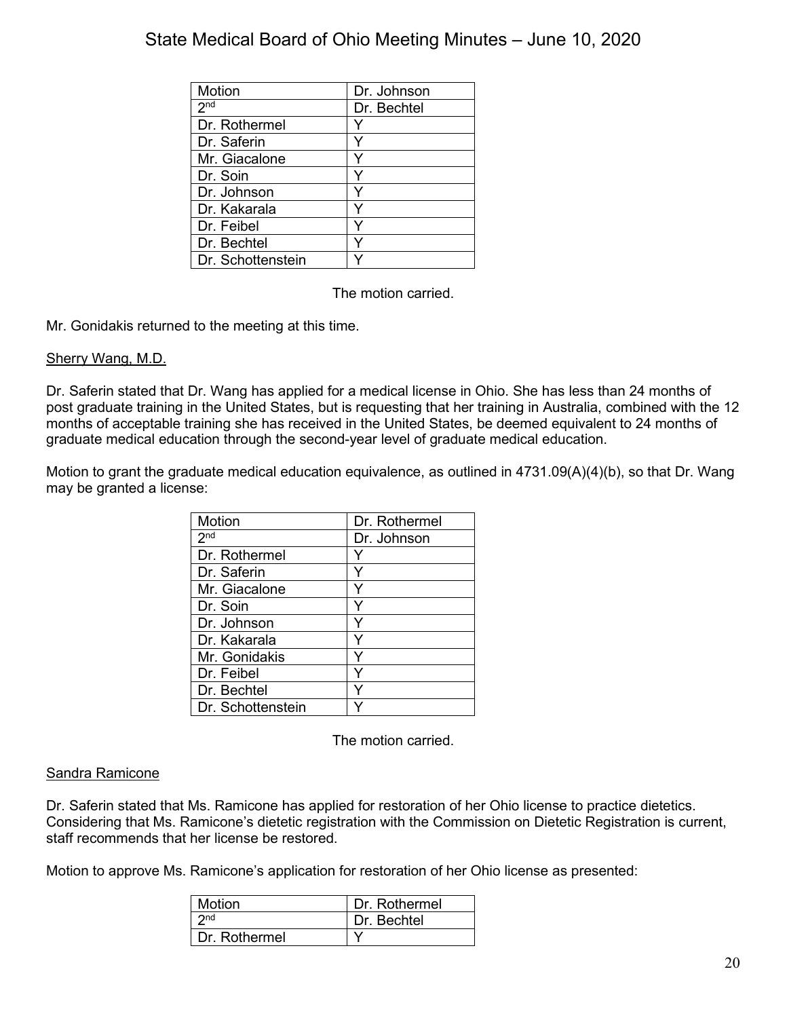| Motion            | Dr. Johnson |
|-------------------|-------------|
| 2 <sup>nd</sup>   | Dr. Bechtel |
| Dr. Rothermel     |             |
| Dr. Saferin       |             |
| Mr. Giacalone     |             |
| Dr. Soin          |             |
| Dr. Johnson       |             |
| Dr. Kakarala      |             |
| Dr. Feibel        |             |
| Dr. Bechtel       |             |
| Dr. Schottenstein |             |

The motion carried.

Mr. Gonidakis returned to the meeting at this time.

#### Sherry Wang, M.D.

Dr. Saferin stated that Dr. Wang has applied for a medical license in Ohio. She has less than 24 months of post graduate training in the United States, but is requesting that her training in Australia, combined with the 12 months of acceptable training she has received in the United States, be deemed equivalent to 24 months of graduate medical education through the second-year level of graduate medical education.

Motion to grant the graduate medical education equivalence, as outlined in 4731.09(A)(4)(b), so that Dr. Wang may be granted a license:

| Motion            | Dr. Rothermel |
|-------------------|---------------|
| 2 <sup>nd</sup>   | Dr. Johnson   |
| Dr. Rothermel     |               |
| Dr. Saferin       |               |
| Mr. Giacalone     |               |
| Dr. Soin          |               |
| Dr. Johnson       |               |
| Dr. Kakarala      |               |
| Mr. Gonidakis     |               |
| Dr. Feibel        |               |
| Dr. Bechtel       |               |
| Dr. Schottenstein |               |

The motion carried.

### Sandra Ramicone

Dr. Saferin stated that Ms. Ramicone has applied for restoration of her Ohio license to practice dietetics. Considering that Ms. Ramicone's dietetic registration with the Commission on Dietetic Registration is current, staff recommends that her license be restored.

Motion to approve Ms. Ramicone's application for restoration of her Ohio license as presented:

| Motion          | Dr. Rothermel |
|-----------------|---------------|
| 2 <sub>nd</sub> | Dr. Bechtel   |
| Dr. Rothermel   |               |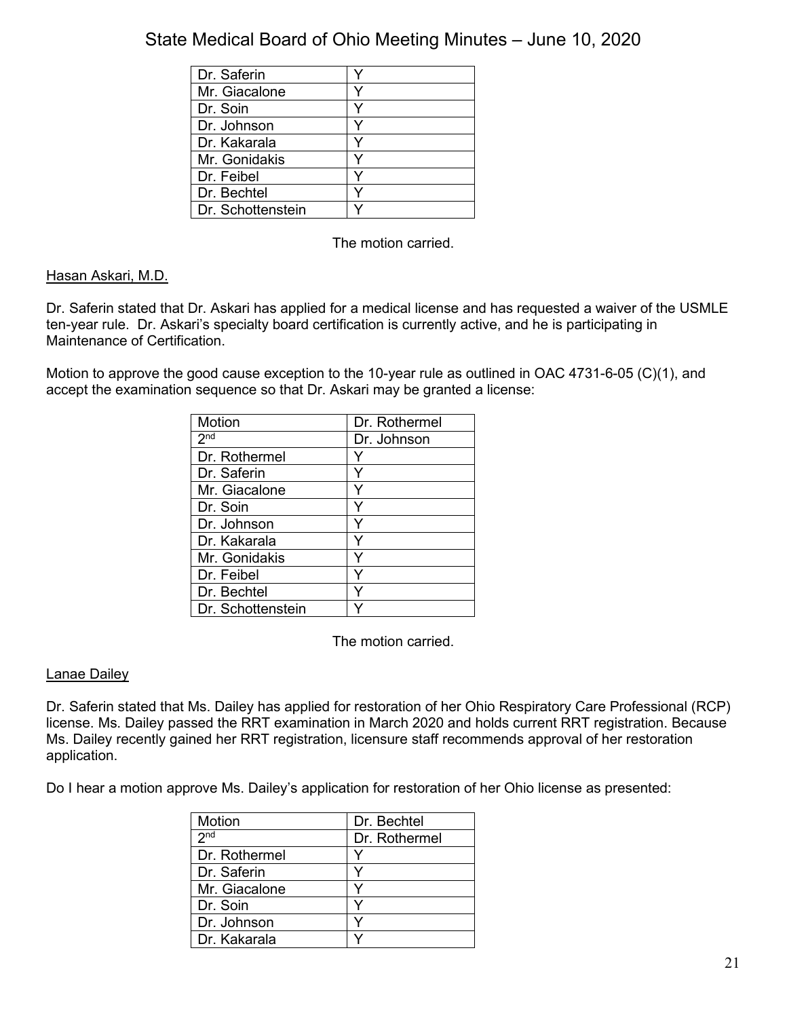| Dr. Saferin       |  |
|-------------------|--|
| Mr. Giacalone     |  |
| Dr. Soin          |  |
| Dr. Johnson       |  |
| Dr. Kakarala      |  |
| Mr. Gonidakis     |  |
| Dr. Feibel        |  |
| Dr. Bechtel       |  |
| Dr. Schottenstein |  |

The motion carried.

## Hasan Askari, M.D.

Dr. Saferin stated that Dr. Askari has applied for a medical license and has requested a waiver of the USMLE ten-year rule. Dr. Askari's specialty board certification is currently active, and he is participating in Maintenance of Certification.

Motion to approve the good cause exception to the 10-year rule as outlined in OAC 4731-6-05 (C)(1), and accept the examination sequence so that Dr. Askari may be granted a license:

| Motion            | Dr. Rothermel |
|-------------------|---------------|
| 2 <sub>nd</sub>   | Dr. Johnson   |
| Dr. Rothermel     |               |
| Dr. Saferin       |               |
| Mr. Giacalone     | Y             |
| Dr. Soin          | ٧             |
| Dr. Johnson       | Y             |
| Dr. Kakarala      | Y             |
| Mr. Gonidakis     | Y             |
| Dr. Feibel        | Y             |
| Dr. Bechtel       | Y             |
| Dr. Schottenstein |               |

The motion carried.

### Lanae Dailey

Dr. Saferin stated that Ms. Dailey has applied for restoration of her Ohio Respiratory Care Professional (RCP) license. Ms. Dailey passed the RRT examination in March 2020 and holds current RRT registration. Because Ms. Dailey recently gained her RRT registration, licensure staff recommends approval of her restoration application.

Do I hear a motion approve Ms. Dailey's application for restoration of her Ohio license as presented:

| <b>Motion</b>   | Dr. Bechtel   |
|-----------------|---------------|
| 2 <sub>nd</sub> | Dr. Rothermel |
| Dr. Rothermel   | v             |
| Dr. Saferin     |               |
| Mr. Giacalone   |               |
| Dr. Soin        |               |
| Dr. Johnson     |               |
| Dr. Kakarala    |               |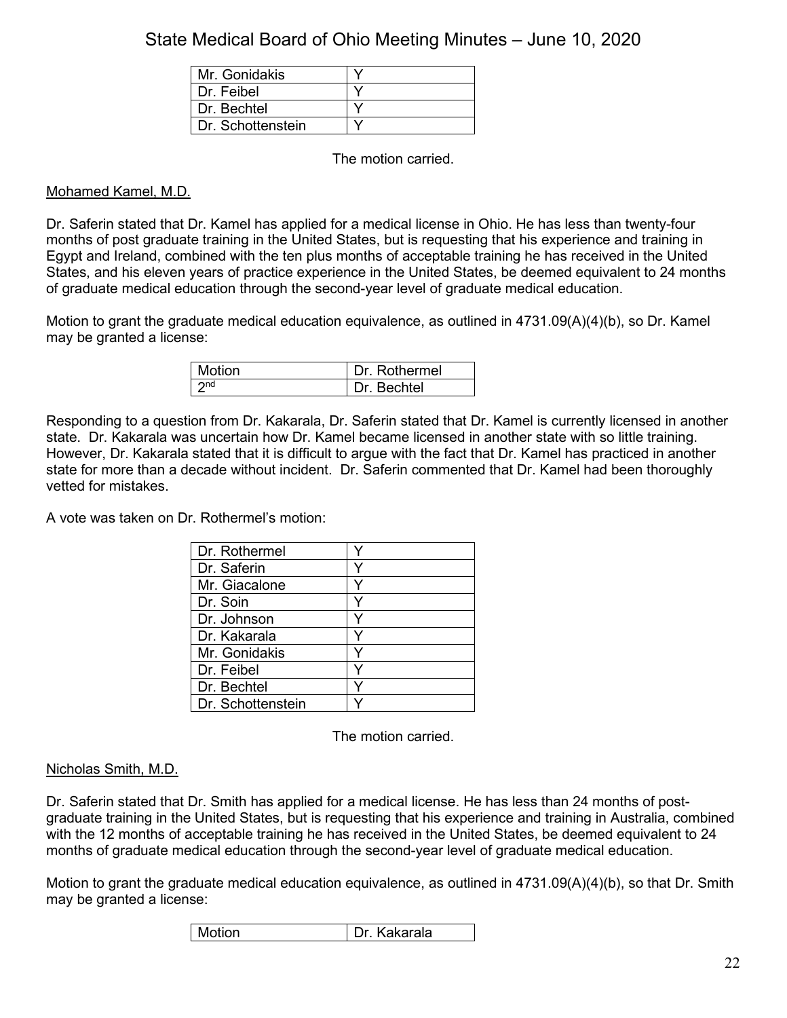| Mr. Gonidakis     |  |
|-------------------|--|
| Dr. Feibel        |  |
| Dr. Bechtel       |  |
| Dr. Schottenstein |  |

The motion carried.

### Mohamed Kamel, M.D.

Dr. Saferin stated that Dr. Kamel has applied for a medical license in Ohio. He has less than twenty-four months of post graduate training in the United States, but is requesting that his experience and training in Egypt and Ireland, combined with the ten plus months of acceptable training he has received in the United States, and his eleven years of practice experience in the United States, be deemed equivalent to 24 months of graduate medical education through the second-year level of graduate medical education.

Motion to grant the graduate medical education equivalence, as outlined in 4731.09(A)(4)(b), so Dr. Kamel may be granted a license:

| <b>Motion</b>   | Dr. Rothermel |
|-----------------|---------------|
| 2 <sub>nd</sub> | Dr. Bechtel   |

Responding to a question from Dr. Kakarala, Dr. Saferin stated that Dr. Kamel is currently licensed in another state. Dr. Kakarala was uncertain how Dr. Kamel became licensed in another state with so little training. However, Dr. Kakarala stated that it is difficult to argue with the fact that Dr. Kamel has practiced in another state for more than a decade without incident. Dr. Saferin commented that Dr. Kamel had been thoroughly vetted for mistakes.

A vote was taken on Dr. Rothermel's motion:

| Dr. Rothermel     |   |
|-------------------|---|
| Dr. Saferin       | v |
| Mr. Giacalone     |   |
| Dr. Soin          |   |
| Dr. Johnson       |   |
| Dr. Kakarala      |   |
| Mr. Gonidakis     |   |
| Dr. Feibel        |   |
| Dr. Bechtel       |   |
| Dr. Schottenstein |   |

The motion carried.

### Nicholas Smith, M.D.

Dr. Saferin stated that Dr. Smith has applied for a medical license. He has less than 24 months of postgraduate training in the United States, but is requesting that his experience and training in Australia, combined with the 12 months of acceptable training he has received in the United States, be deemed equivalent to 24 months of graduate medical education through the second-year level of graduate medical education.

Motion to grant the graduate medical education equivalence, as outlined in 4731.09(A)(4)(b), so that Dr. Smith may be granted a license:

| Motion | Dr. Kakarala |
|--------|--------------|
|--------|--------------|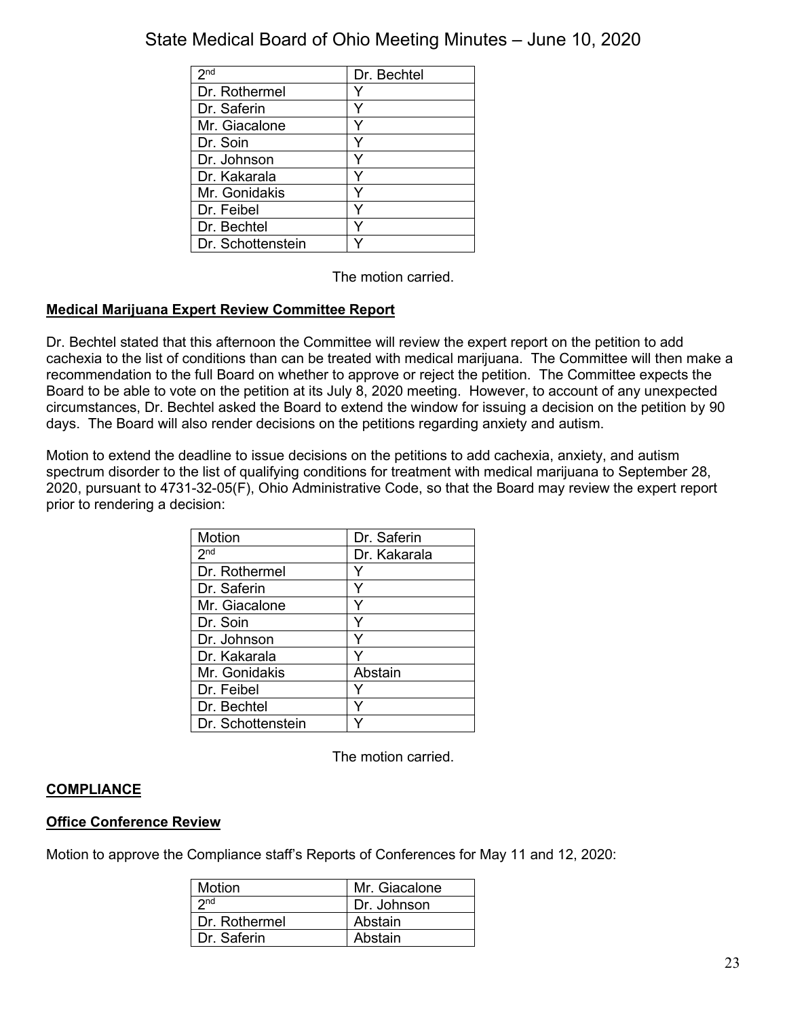| 2 <sub>nd</sub>   | Dr. Bechtel |
|-------------------|-------------|
| Dr. Rothermel     |             |
| Dr. Saferin       |             |
| Mr. Giacalone     |             |
| Dr. Soin          |             |
| Dr. Johnson       |             |
| Dr. Kakarala      |             |
| Mr. Gonidakis     |             |
| Dr. Feibel        |             |
| Dr. Bechtel       |             |
| Dr. Schottenstein |             |

The motion carried.

### **Medical Marijuana Expert Review Committee Report**

Dr. Bechtel stated that this afternoon the Committee will review the expert report on the petition to add cachexia to the list of conditions than can be treated with medical marijuana. The Committee will then make a recommendation to the full Board on whether to approve or reject the petition. The Committee expects the Board to be able to vote on the petition at its July 8, 2020 meeting. However, to account of any unexpected circumstances, Dr. Bechtel asked the Board to extend the window for issuing a decision on the petition by 90 days. The Board will also render decisions on the petitions regarding anxiety and autism.

Motion to extend the deadline to issue decisions on the petitions to add cachexia, anxiety, and autism spectrum disorder to the list of qualifying conditions for treatment with medical marijuana to September 28, 2020, pursuant to 4731-32-05(F), Ohio Administrative Code, so that the Board may review the expert report prior to rendering a decision:

| Motion            | Dr. Saferin  |
|-------------------|--------------|
| 2 <sub>nd</sub>   | Dr. Kakarala |
| Dr. Rothermel     |              |
| Dr. Saferin       |              |
| Mr. Giacalone     | Y            |
| Dr. Soin          |              |
| Dr. Johnson       | ٧            |
| l Dr. Kakarala    |              |
| Mr. Gonidakis     | Abstain      |
| Dr. Feibel        |              |
| Dr. Bechtel       | Y            |
| Dr. Schottenstein |              |

The motion carried.

## **COMPLIANCE**

### **Office Conference Review**

Motion to approve the Compliance staff's Reports of Conferences for May 11 and 12, 2020:

| Motion          | Mr. Giacalone |
|-----------------|---------------|
| 2 <sub>nd</sub> | Dr. Johnson   |
| Dr. Rothermel   | Abstain       |
| Dr. Saferin     | Abstain       |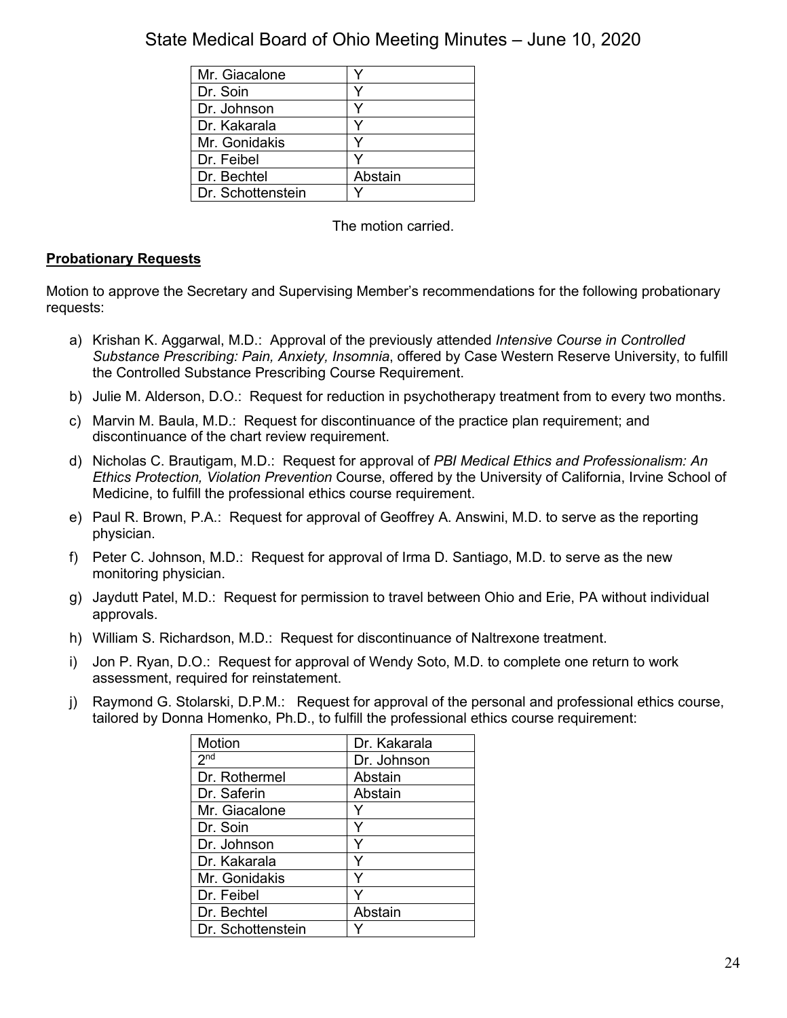| Mr. Giacalone     |         |
|-------------------|---------|
| Dr. Soin          |         |
| Dr. Johnson       |         |
| Dr. Kakarala      |         |
| Mr. Gonidakis     |         |
| Dr. Feibel        |         |
| Dr. Bechtel       | Abstain |
| Dr. Schottenstein |         |

The motion carried.

### **Probationary Requests**

Motion to approve the Secretary and Supervising Member's recommendations for the following probationary requests:

- a) Krishan K. Aggarwal, M.D.: Approval of the previously attended *Intensive Course in Controlled Substance Prescribing: Pain, Anxiety, Insomnia*, offered by Case Western Reserve University, to fulfill the Controlled Substance Prescribing Course Requirement.
- b) Julie M. Alderson, D.O.: Request for reduction in psychotherapy treatment from to every two months.
- c) Marvin M. Baula, M.D.: Request for discontinuance of the practice plan requirement; and discontinuance of the chart review requirement.
- d) Nicholas C. Brautigam, M.D.: Request for approval of *PBI Medical Ethics and Professionalism: An Ethics Protection, Violation Prevention* Course, offered by the University of California, Irvine School of Medicine, to fulfill the professional ethics course requirement.
- e) Paul R. Brown, P.A.: Request for approval of Geoffrey A. Answini, M.D. to serve as the reporting physician.
- f) Peter C. Johnson, M.D.: Request for approval of Irma D. Santiago, M.D. to serve as the new monitoring physician.
- g) Jaydutt Patel, M.D.: Request for permission to travel between Ohio and Erie, PA without individual approvals.
- h) William S. Richardson, M.D.: Request for discontinuance of Naltrexone treatment.
- i) Jon P. Ryan, D.O.: Request for approval of Wendy Soto, M.D. to complete one return to work assessment, required for reinstatement.
- i) Raymond G. Stolarski, D.P.M.: Request for approval of the personal and professional ethics course, tailored by Donna Homenko, Ph.D., to fulfill the professional ethics course requirement:

| Motion            | Dr. Kakarala |
|-------------------|--------------|
| 2 <sup>nd</sup>   | Dr. Johnson  |
| Dr. Rothermel     | Abstain      |
| Dr. Saferin       | Abstain      |
| Mr. Giacalone     |              |
| Dr. Soin          | ٧            |
| Dr. Johnson       | ٧            |
| Dr. Kakarala      | v            |
| Mr. Gonidakis     |              |
| Dr. Feibel        |              |
| Dr. Bechtel       | Abstain      |
| Dr. Schottenstein |              |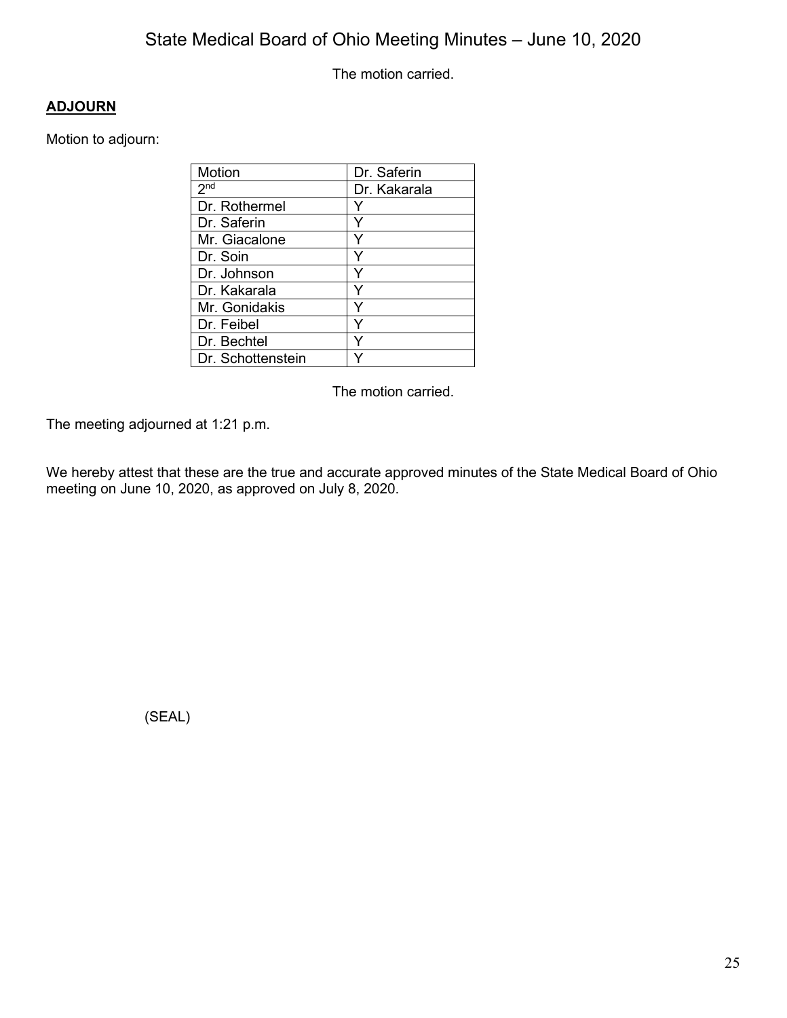The motion carried.

## **ADJOURN**

Motion to adjourn:

| Motion            | Dr. Saferin  |
|-------------------|--------------|
| 2 <sub>nd</sub>   | Dr. Kakarala |
| Dr. Rothermel     |              |
| Dr. Saferin       |              |
| Mr. Giacalone     |              |
| Dr. Soin          |              |
| Dr. Johnson       |              |
| Dr. Kakarala      |              |
| Mr. Gonidakis     |              |
| Dr. Feibel        | ٧            |
| Dr. Bechtel       |              |
| Dr. Schottenstein |              |

The motion carried.

The meeting adjourned at 1:21 p.m.

We hereby attest that these are the true and accurate approved minutes of the State Medical Board of Ohio meeting on June 10, 2020, as approved on July 8, 2020.

(SEAL)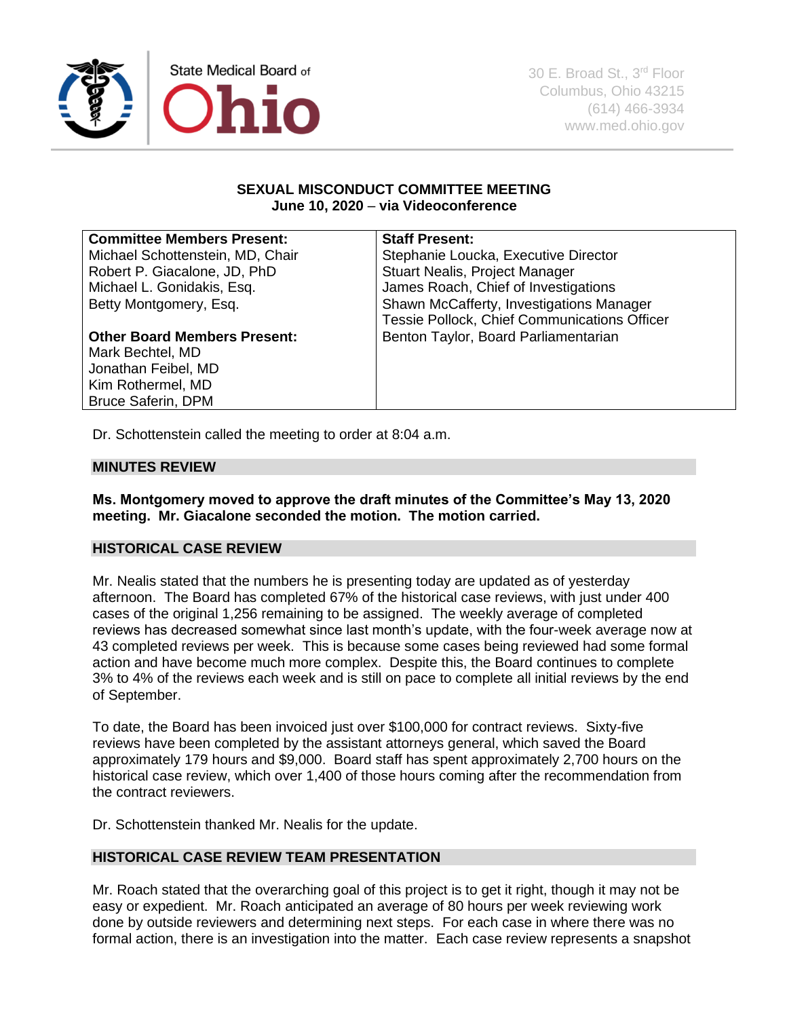

30 E. Broad St., 3rd Floor Columbus, Ohio 43215 (614) 466-3934 www.med.ohio.gov

### **SEXUAL MISCONDUCT COMMITTEE MEETING June 10, 2020** – **via Videoconference**

## **Committee Members Present:** Michael Schottenstein, MD, Chair

Robert P. Giacalone, JD, PhD Michael L. Gonidakis, Esq. Betty Montgomery, Esq.

# **Staff Present:**

Stephanie Loucka, Executive Director Stuart Nealis, Project Manager James Roach, Chief of Investigations Shawn McCafferty, Investigations Manager Tessie Pollock, Chief Communications Officer Benton Taylor, Board Parliamentarian

## **Other Board Members Present:**

Mark Bechtel, MD Jonathan Feibel, MD Kim Rothermel, MD Bruce Saferin, DPM

Dr. Schottenstein called the meeting to order at 8:04 a.m.

## **MINUTES REVIEW**

**Ms. Montgomery moved to approve the draft minutes of the Committee's May 13, 2020 meeting. Mr. Giacalone seconded the motion. The motion carried.**

### **HISTORICAL CASE REVIEW**

Mr. Nealis stated that the numbers he is presenting today are updated as of yesterday afternoon. The Board has completed 67% of the historical case reviews, with just under 400 cases of the original 1,256 remaining to be assigned. The weekly average of completed reviews has decreased somewhat since last month's update, with the four-week average now at 43 completed reviews per week. This is because some cases being reviewed had some formal action and have become much more complex. Despite this, the Board continues to complete 3% to 4% of the reviews each week and is still on pace to complete all initial reviews by the end of September.

To date, the Board has been invoiced just over \$100,000 for contract reviews. Sixty-five reviews have been completed by the assistant attorneys general, which saved the Board approximately 179 hours and \$9,000. Board staff has spent approximately 2,700 hours on the historical case review, which over 1,400 of those hours coming after the recommendation from the contract reviewers.

Dr. Schottenstein thanked Mr. Nealis for the update.

## **HISTORICAL CASE REVIEW TEAM PRESENTATION**

Mr. Roach stated that the overarching goal of this project is to get it right, though it may not be easy or expedient. Mr. Roach anticipated an average of 80 hours per week reviewing work done by outside reviewers and determining next steps. For each case in where there was no formal action, there is an investigation into the matter. Each case review represents a snapshot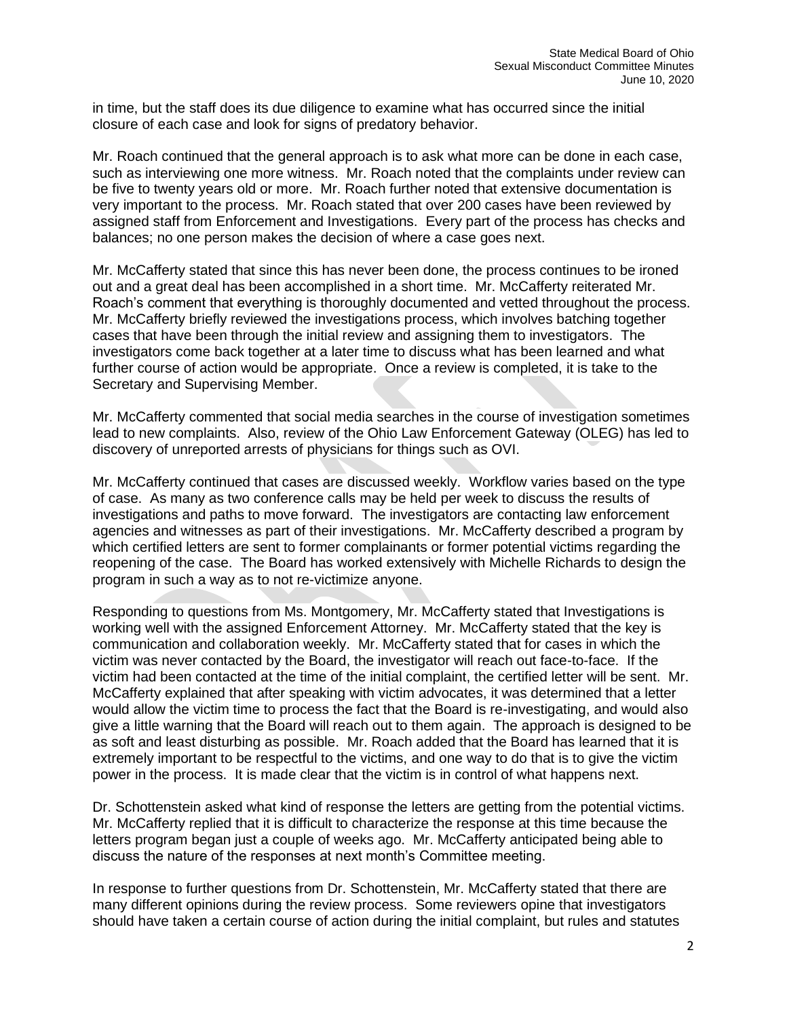in time, but the staff does its due diligence to examine what has occurred since the initial closure of each case and look for signs of predatory behavior.

Mr. Roach continued that the general approach is to ask what more can be done in each case, such as interviewing one more witness. Mr. Roach noted that the complaints under review can be five to twenty years old or more. Mr. Roach further noted that extensive documentation is very important to the process. Mr. Roach stated that over 200 cases have been reviewed by assigned staff from Enforcement and Investigations. Every part of the process has checks and balances; no one person makes the decision of where a case goes next.

Mr. McCafferty stated that since this has never been done, the process continues to be ironed out and a great deal has been accomplished in a short time. Mr. McCafferty reiterated Mr. Roach's comment that everything is thoroughly documented and vetted throughout the process. Mr. McCafferty briefly reviewed the investigations process, which involves batching together cases that have been through the initial review and assigning them to investigators. The investigators come back together at a later time to discuss what has been learned and what further course of action would be appropriate. Once a review is completed, it is take to the Secretary and Supervising Member.

Mr. McCafferty commented that social media searches in the course of investigation sometimes lead to new complaints. Also, review of the Ohio Law Enforcement Gateway (OLEG) has led to discovery of unreported arrests of physicians for things such as OVI.

Mr. McCafferty continued that cases are discussed weekly. Workflow varies based on the type of case. As many as two conference calls may be held per week to discuss the results of investigations and paths to move forward. The investigators are contacting law enforcement agencies and witnesses as part of their investigations. Mr. McCafferty described a program by which certified letters are sent to former complainants or former potential victims regarding the reopening of the case. The Board has worked extensively with Michelle Richards to design the program in such a way as to not re-victimize anyone.

Responding to questions from Ms. Montgomery, Mr. McCafferty stated that Investigations is working well with the assigned Enforcement Attorney. Mr. McCafferty stated that the key is communication and collaboration weekly. Mr. McCafferty stated that for cases in which the victim was never contacted by the Board, the investigator will reach out face-to-face. If the victim had been contacted at the time of the initial complaint, the certified letter will be sent. Mr. McCafferty explained that after speaking with victim advocates, it was determined that a letter would allow the victim time to process the fact that the Board is re-investigating, and would also give a little warning that the Board will reach out to them again. The approach is designed to be as soft and least disturbing as possible. Mr. Roach added that the Board has learned that it is extremely important to be respectful to the victims, and one way to do that is to give the victim power in the process. It is made clear that the victim is in control of what happens next.

Dr. Schottenstein asked what kind of response the letters are getting from the potential victims. Mr. McCafferty replied that it is difficult to characterize the response at this time because the letters program began just a couple of weeks ago. Mr. McCafferty anticipated being able to discuss the nature of the responses at next month's Committee meeting.

In response to further questions from Dr. Schottenstein, Mr. McCafferty stated that there are many different opinions during the review process. Some reviewers opine that investigators should have taken a certain course of action during the initial complaint, but rules and statutes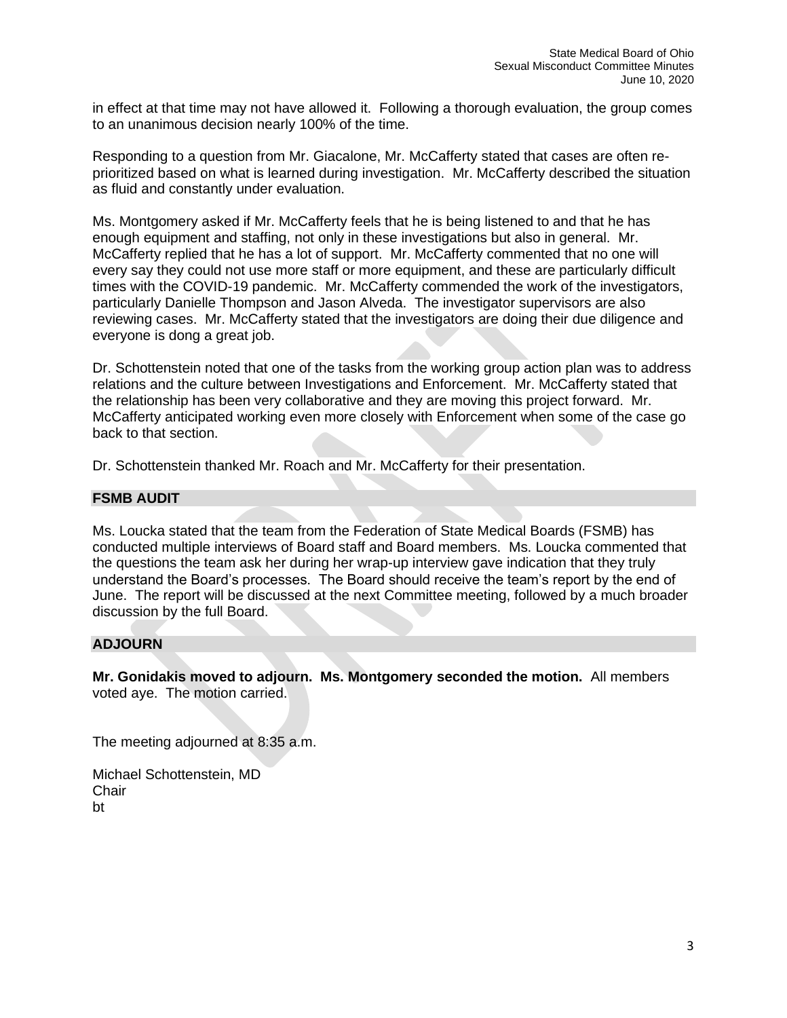in effect at that time may not have allowed it. Following a thorough evaluation, the group comes to an unanimous decision nearly 100% of the time.

Responding to a question from Mr. Giacalone, Mr. McCafferty stated that cases are often reprioritized based on what is learned during investigation. Mr. McCafferty described the situation as fluid and constantly under evaluation.

Ms. Montgomery asked if Mr. McCafferty feels that he is being listened to and that he has enough equipment and staffing, not only in these investigations but also in general. Mr. McCafferty replied that he has a lot of support. Mr. McCafferty commented that no one will every say they could not use more staff or more equipment, and these are particularly difficult times with the COVID-19 pandemic. Mr. McCafferty commended the work of the investigators, particularly Danielle Thompson and Jason Alveda. The investigator supervisors are also reviewing cases. Mr. McCafferty stated that the investigators are doing their due diligence and everyone is dong a great job.

Dr. Schottenstein noted that one of the tasks from the working group action plan was to address relations and the culture between Investigations and Enforcement. Mr. McCafferty stated that the relationship has been very collaborative and they are moving this project forward. Mr. McCafferty anticipated working even more closely with Enforcement when some of the case go back to that section.

Dr. Schottenstein thanked Mr. Roach and Mr. McCafferty for their presentation.

#### **FSMB AUDIT**

Ms. Loucka stated that the team from the Federation of State Medical Boards (FSMB) has conducted multiple interviews of Board staff and Board members. Ms. Loucka commented that the questions the team ask her during her wrap-up interview gave indication that they truly understand the Board's processes. The Board should receive the team's report by the end of June. The report will be discussed at the next Committee meeting, followed by a much broader discussion by the full Board.

### **ADJOURN**

**Mr. Gonidakis moved to adjourn. Ms. Montgomery seconded the motion.** All members voted aye. The motion carried.

The meeting adjourned at 8:35 a.m.

Michael Schottenstein, MD **Chair** bt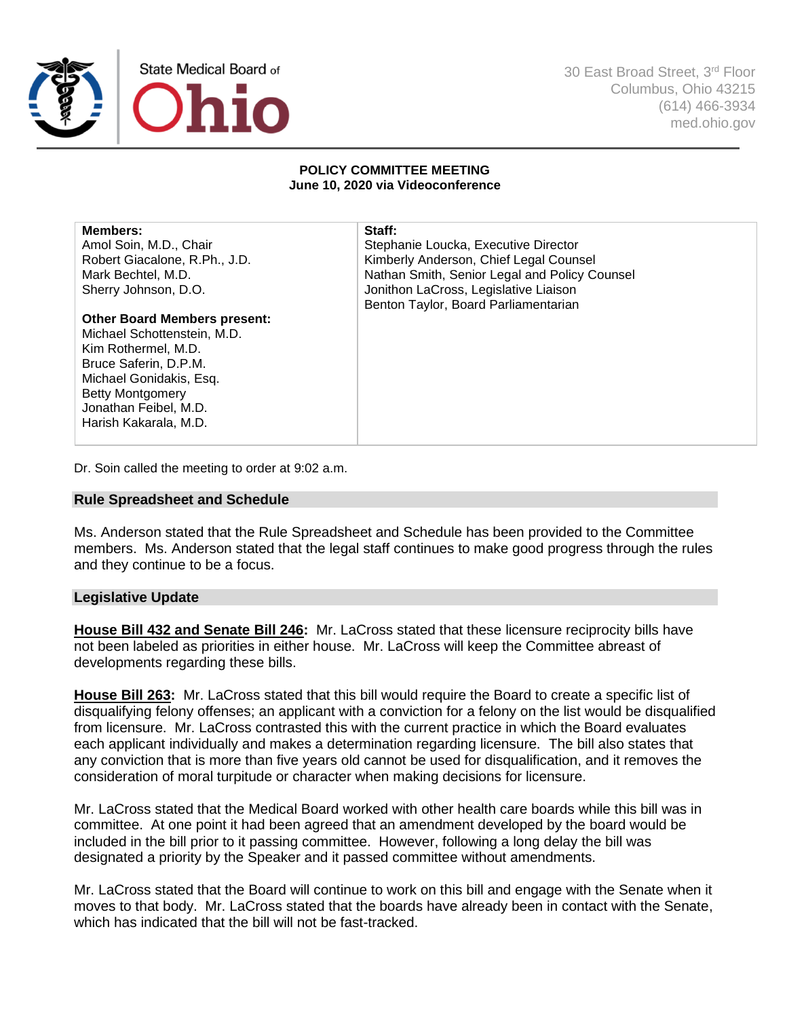

30 East Broad Street, 3rd Floor Columbus, Ohio 43215 (614) 466-3934 med.ohio.gov

#### **POLICY COMMITTEE MEETING June 10, 2020 via Videoconference**

**Members:**  Amol Soin, M.D., Chair Robert Giacalone, R.Ph., J.D. Mark Bechtel, M.D. Sherry Johnson, D.O.

#### **Other Board Members present:**

Michael Schottenstein, M.D. Kim Rothermel, M.D. Bruce Saferin, D.P.M. Michael Gonidakis, Esq. Betty Montgomery Jonathan Feibel, M.D. Harish Kakarala, M.D.

**Staff:**  Stephanie Loucka, Executive Director Kimberly Anderson, Chief Legal Counsel Nathan Smith, Senior Legal and Policy Counsel Jonithon LaCross, Legislative Liaison Benton Taylor, Board Parliamentarian

Dr. Soin called the meeting to order at 9:02 a.m.

#### **Rule Spreadsheet and Schedule**

Ms. Anderson stated that the Rule Spreadsheet and Schedule has been provided to the Committee members. Ms. Anderson stated that the legal staff continues to make good progress through the rules and they continue to be a focus.

#### **Legislative Update**

**House Bill 432 and Senate Bill 246:** Mr. LaCross stated that these licensure reciprocity bills have not been labeled as priorities in either house. Mr. LaCross will keep the Committee abreast of developments regarding these bills.

**House Bill 263:** Mr. LaCross stated that this bill would require the Board to create a specific list of disqualifying felony offenses; an applicant with a conviction for a felony on the list would be disqualified from licensure. Mr. LaCross contrasted this with the current practice in which the Board evaluates each applicant individually and makes a determination regarding licensure. The bill also states that any conviction that is more than five years old cannot be used for disqualification, and it removes the consideration of moral turpitude or character when making decisions for licensure.

Mr. LaCross stated that the Medical Board worked with other health care boards while this bill was in committee. At one point it had been agreed that an amendment developed by the board would be included in the bill prior to it passing committee. However, following a long delay the bill was designated a priority by the Speaker and it passed committee without amendments.

Mr. LaCross stated that the Board will continue to work on this bill and engage with the Senate when it moves to that body. Mr. LaCross stated that the boards have already been in contact with the Senate, which has indicated that the bill will not be fast-tracked.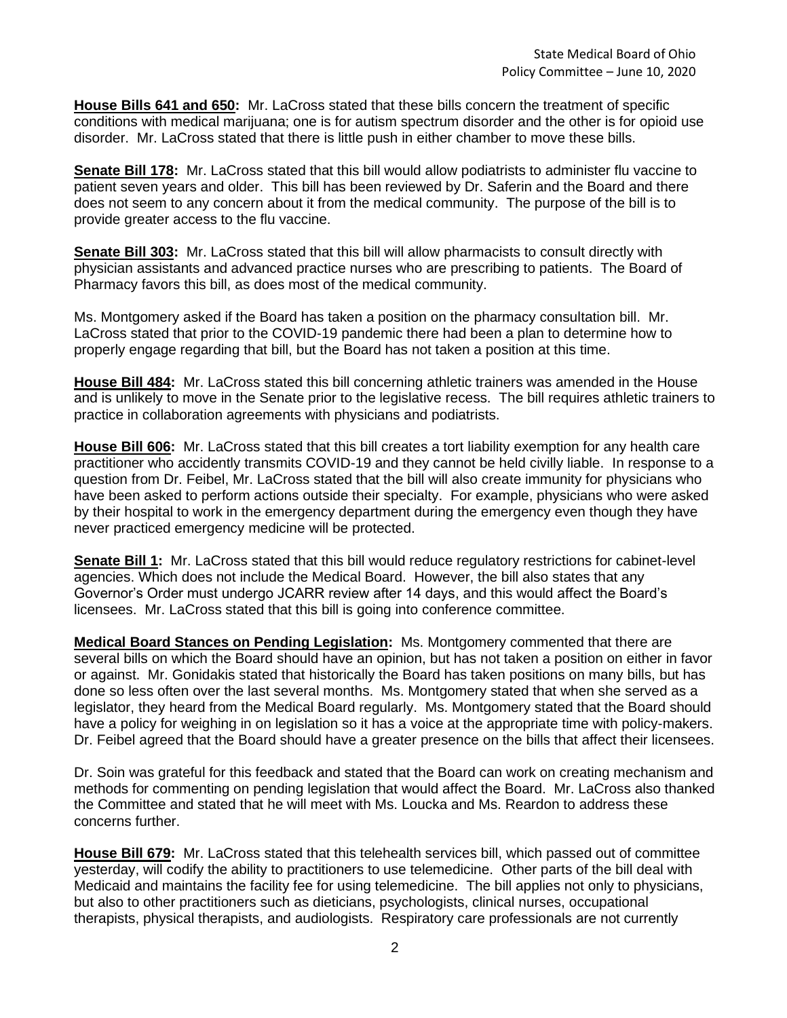**House Bills 641 and 650:** Mr. LaCross stated that these bills concern the treatment of specific conditions with medical marijuana; one is for autism spectrum disorder and the other is for opioid use disorder. Mr. LaCross stated that there is little push in either chamber to move these bills.

**Senate Bill 178:** Mr. LaCross stated that this bill would allow podiatrists to administer flu vaccine to patient seven years and older. This bill has been reviewed by Dr. Saferin and the Board and there does not seem to any concern about it from the medical community. The purpose of the bill is to provide greater access to the flu vaccine.

**Senate Bill 303:** Mr. LaCross stated that this bill will allow pharmacists to consult directly with physician assistants and advanced practice nurses who are prescribing to patients. The Board of Pharmacy favors this bill, as does most of the medical community.

Ms. Montgomery asked if the Board has taken a position on the pharmacy consultation bill. Mr. LaCross stated that prior to the COVID-19 pandemic there had been a plan to determine how to properly engage regarding that bill, but the Board has not taken a position at this time.

**House Bill 484:** Mr. LaCross stated this bill concerning athletic trainers was amended in the House and is unlikely to move in the Senate prior to the legislative recess. The bill requires athletic trainers to practice in collaboration agreements with physicians and podiatrists.

**House Bill 606:** Mr. LaCross stated that this bill creates a tort liability exemption for any health care practitioner who accidently transmits COVID-19 and they cannot be held civilly liable. In response to a question from Dr. Feibel, Mr. LaCross stated that the bill will also create immunity for physicians who have been asked to perform actions outside their specialty. For example, physicians who were asked by their hospital to work in the emergency department during the emergency even though they have never practiced emergency medicine will be protected.

**Senate Bill 1:** Mr. LaCross stated that this bill would reduce regulatory restrictions for cabinet-level agencies. Which does not include the Medical Board. However, the bill also states that any Governor's Order must undergo JCARR review after 14 days, and this would affect the Board's licensees. Mr. LaCross stated that this bill is going into conference committee.

**Medical Board Stances on Pending Legislation:** Ms. Montgomery commented that there are several bills on which the Board should have an opinion, but has not taken a position on either in favor or against. Mr. Gonidakis stated that historically the Board has taken positions on many bills, but has done so less often over the last several months. Ms. Montgomery stated that when she served as a legislator, they heard from the Medical Board regularly. Ms. Montgomery stated that the Board should have a policy for weighing in on legislation so it has a voice at the appropriate time with policy-makers. Dr. Feibel agreed that the Board should have a greater presence on the bills that affect their licensees.

Dr. Soin was grateful for this feedback and stated that the Board can work on creating mechanism and methods for commenting on pending legislation that would affect the Board. Mr. LaCross also thanked the Committee and stated that he will meet with Ms. Loucka and Ms. Reardon to address these concerns further.

**House Bill 679:** Mr. LaCross stated that this telehealth services bill, which passed out of committee yesterday, will codify the ability to practitioners to use telemedicine. Other parts of the bill deal with Medicaid and maintains the facility fee for using telemedicine. The bill applies not only to physicians, but also to other practitioners such as dieticians, psychologists, clinical nurses, occupational therapists, physical therapists, and audiologists. Respiratory care professionals are not currently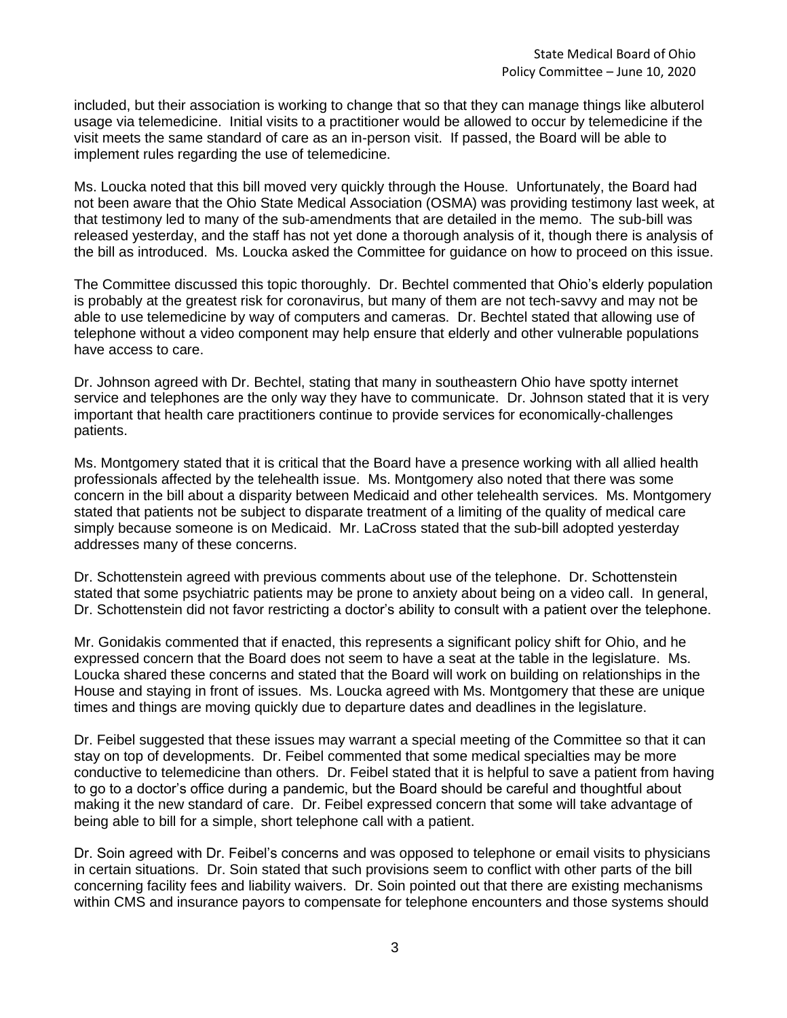included, but their association is working to change that so that they can manage things like albuterol usage via telemedicine. Initial visits to a practitioner would be allowed to occur by telemedicine if the visit meets the same standard of care as an in-person visit. If passed, the Board will be able to implement rules regarding the use of telemedicine.

Ms. Loucka noted that this bill moved very quickly through the House. Unfortunately, the Board had not been aware that the Ohio State Medical Association (OSMA) was providing testimony last week, at that testimony led to many of the sub-amendments that are detailed in the memo. The sub-bill was released yesterday, and the staff has not yet done a thorough analysis of it, though there is analysis of the bill as introduced. Ms. Loucka asked the Committee for guidance on how to proceed on this issue.

The Committee discussed this topic thoroughly. Dr. Bechtel commented that Ohio's elderly population is probably at the greatest risk for coronavirus, but many of them are not tech-savvy and may not be able to use telemedicine by way of computers and cameras. Dr. Bechtel stated that allowing use of telephone without a video component may help ensure that elderly and other vulnerable populations have access to care.

Dr. Johnson agreed with Dr. Bechtel, stating that many in southeastern Ohio have spotty internet service and telephones are the only way they have to communicate. Dr. Johnson stated that it is very important that health care practitioners continue to provide services for economically-challenges patients.

Ms. Montgomery stated that it is critical that the Board have a presence working with all allied health professionals affected by the telehealth issue. Ms. Montgomery also noted that there was some concern in the bill about a disparity between Medicaid and other telehealth services. Ms. Montgomery stated that patients not be subject to disparate treatment of a limiting of the quality of medical care simply because someone is on Medicaid. Mr. LaCross stated that the sub-bill adopted yesterday addresses many of these concerns.

Dr. Schottenstein agreed with previous comments about use of the telephone. Dr. Schottenstein stated that some psychiatric patients may be prone to anxiety about being on a video call. In general, Dr. Schottenstein did not favor restricting a doctor's ability to consult with a patient over the telephone.

Mr. Gonidakis commented that if enacted, this represents a significant policy shift for Ohio, and he expressed concern that the Board does not seem to have a seat at the table in the legislature. Ms. Loucka shared these concerns and stated that the Board will work on building on relationships in the House and staying in front of issues. Ms. Loucka agreed with Ms. Montgomery that these are unique times and things are moving quickly due to departure dates and deadlines in the legislature.

Dr. Feibel suggested that these issues may warrant a special meeting of the Committee so that it can stay on top of developments. Dr. Feibel commented that some medical specialties may be more conductive to telemedicine than others. Dr. Feibel stated that it is helpful to save a patient from having to go to a doctor's office during a pandemic, but the Board should be careful and thoughtful about making it the new standard of care. Dr. Feibel expressed concern that some will take advantage of being able to bill for a simple, short telephone call with a patient.

Dr. Soin agreed with Dr. Feibel's concerns and was opposed to telephone or email visits to physicians in certain situations. Dr. Soin stated that such provisions seem to conflict with other parts of the bill concerning facility fees and liability waivers. Dr. Soin pointed out that there are existing mechanisms within CMS and insurance payors to compensate for telephone encounters and those systems should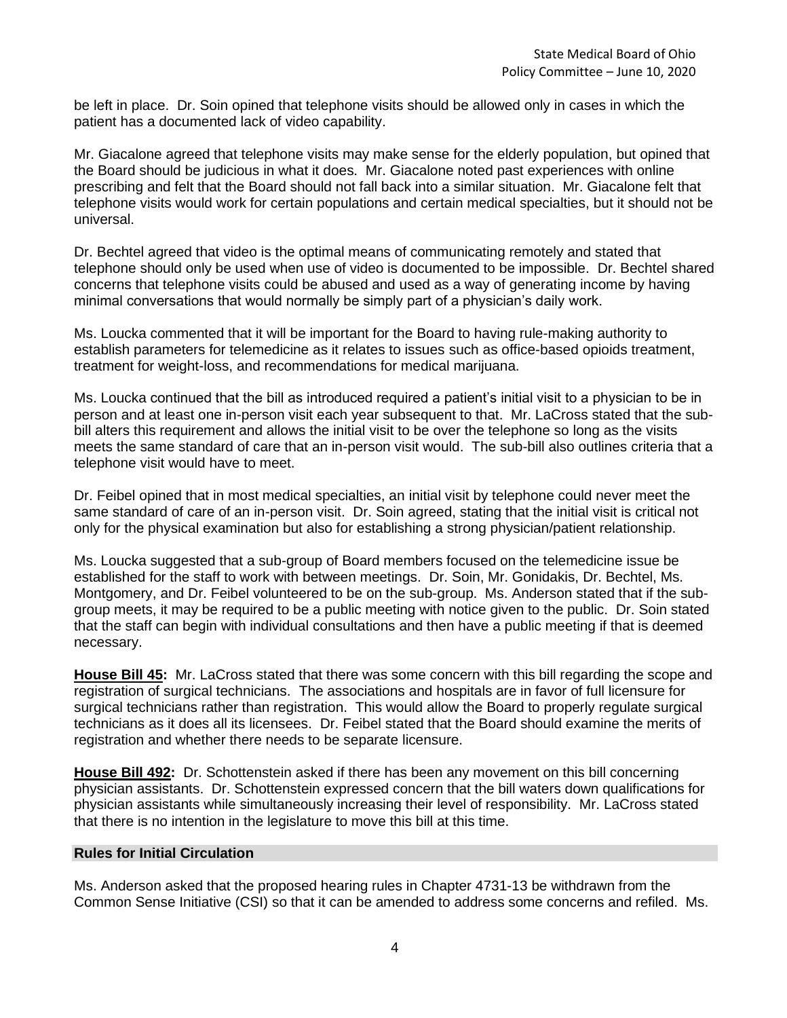be left in place. Dr. Soin opined that telephone visits should be allowed only in cases in which the patient has a documented lack of video capability.

Mr. Giacalone agreed that telephone visits may make sense for the elderly population, but opined that the Board should be judicious in what it does. Mr. Giacalone noted past experiences with online prescribing and felt that the Board should not fall back into a similar situation. Mr. Giacalone felt that telephone visits would work for certain populations and certain medical specialties, but it should not be universal.

Dr. Bechtel agreed that video is the optimal means of communicating remotely and stated that telephone should only be used when use of video is documented to be impossible. Dr. Bechtel shared concerns that telephone visits could be abused and used as a way of generating income by having minimal conversations that would normally be simply part of a physician's daily work.

Ms. Loucka commented that it will be important for the Board to having rule-making authority to establish parameters for telemedicine as it relates to issues such as office-based opioids treatment, treatment for weight-loss, and recommendations for medical marijuana.

Ms. Loucka continued that the bill as introduced required a patient's initial visit to a physician to be in person and at least one in-person visit each year subsequent to that. Mr. LaCross stated that the subbill alters this requirement and allows the initial visit to be over the telephone so long as the visits meets the same standard of care that an in-person visit would. The sub-bill also outlines criteria that a telephone visit would have to meet.

Dr. Feibel opined that in most medical specialties, an initial visit by telephone could never meet the same standard of care of an in-person visit. Dr. Soin agreed, stating that the initial visit is critical not only for the physical examination but also for establishing a strong physician/patient relationship.

Ms. Loucka suggested that a sub-group of Board members focused on the telemedicine issue be established for the staff to work with between meetings. Dr. Soin, Mr. Gonidakis, Dr. Bechtel, Ms. Montgomery, and Dr. Feibel volunteered to be on the sub-group. Ms. Anderson stated that if the subgroup meets, it may be required to be a public meeting with notice given to the public. Dr. Soin stated that the staff can begin with individual consultations and then have a public meeting if that is deemed necessary.

**House Bill 45:** Mr. LaCross stated that there was some concern with this bill regarding the scope and registration of surgical technicians. The associations and hospitals are in favor of full licensure for surgical technicians rather than registration. This would allow the Board to properly regulate surgical technicians as it does all its licensees. Dr. Feibel stated that the Board should examine the merits of registration and whether there needs to be separate licensure.

**House Bill 492:** Dr. Schottenstein asked if there has been any movement on this bill concerning physician assistants. Dr. Schottenstein expressed concern that the bill waters down qualifications for physician assistants while simultaneously increasing their level of responsibility. Mr. LaCross stated that there is no intention in the legislature to move this bill at this time.

#### **Rules for Initial Circulation**

Ms. Anderson asked that the proposed hearing rules in Chapter 4731-13 be withdrawn from the Common Sense Initiative (CSI) so that it can be amended to address some concerns and refiled. Ms.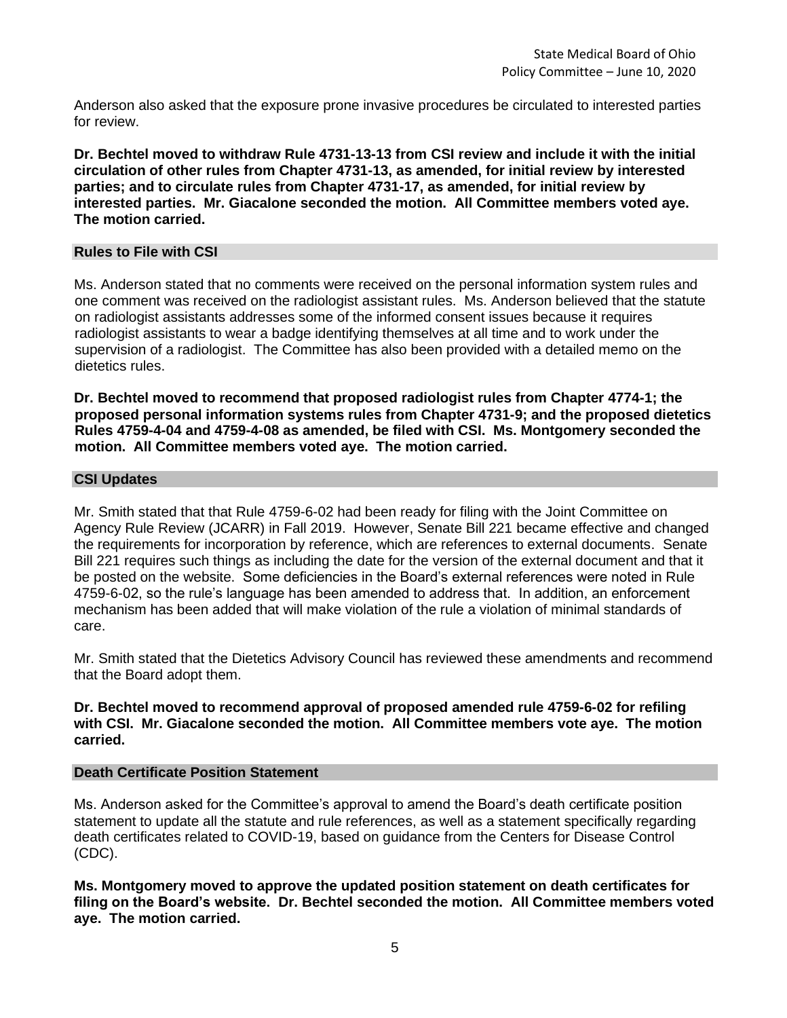Anderson also asked that the exposure prone invasive procedures be circulated to interested parties for review.

**Dr. Bechtel moved to withdraw Rule 4731-13-13 from CSI review and include it with the initial circulation of other rules from Chapter 4731-13, as amended, for initial review by interested parties; and to circulate rules from Chapter 4731-17, as amended, for initial review by interested parties. Mr. Giacalone seconded the motion. All Committee members voted aye. The motion carried.**

#### **Rules to File with CSI**

Ms. Anderson stated that no comments were received on the personal information system rules and one comment was received on the radiologist assistant rules. Ms. Anderson believed that the statute on radiologist assistants addresses some of the informed consent issues because it requires radiologist assistants to wear a badge identifying themselves at all time and to work under the supervision of a radiologist. The Committee has also been provided with a detailed memo on the dietetics rules.

**Dr. Bechtel moved to recommend that proposed radiologist rules from Chapter 4774-1; the proposed personal information systems rules from Chapter 4731-9; and the proposed dietetics Rules 4759-4-04 and 4759-4-08 as amended, be filed with CSI. Ms. Montgomery seconded the motion. All Committee members voted aye. The motion carried.**

#### **CSI Updates**

Mr. Smith stated that that Rule 4759-6-02 had been ready for filing with the Joint Committee on Agency Rule Review (JCARR) in Fall 2019. However, Senate Bill 221 became effective and changed the requirements for incorporation by reference, which are references to external documents. Senate Bill 221 requires such things as including the date for the version of the external document and that it be posted on the website. Some deficiencies in the Board's external references were noted in Rule 4759-6-02, so the rule's language has been amended to address that. In addition, an enforcement mechanism has been added that will make violation of the rule a violation of minimal standards of care.

Mr. Smith stated that the Dietetics Advisory Council has reviewed these amendments and recommend that the Board adopt them.

#### **Dr. Bechtel moved to recommend approval of proposed amended rule 4759-6-02 for refiling with CSI. Mr. Giacalone seconded the motion. All Committee members vote aye. The motion carried.**

### **Death Certificate Position Statement**

Ms. Anderson asked for the Committee's approval to amend the Board's death certificate position statement to update all the statute and rule references, as well as a statement specifically regarding death certificates related to COVID-19, based on guidance from the Centers for Disease Control (CDC).

**Ms. Montgomery moved to approve the updated position statement on death certificates for filing on the Board's website. Dr. Bechtel seconded the motion. All Committee members voted aye. The motion carried.**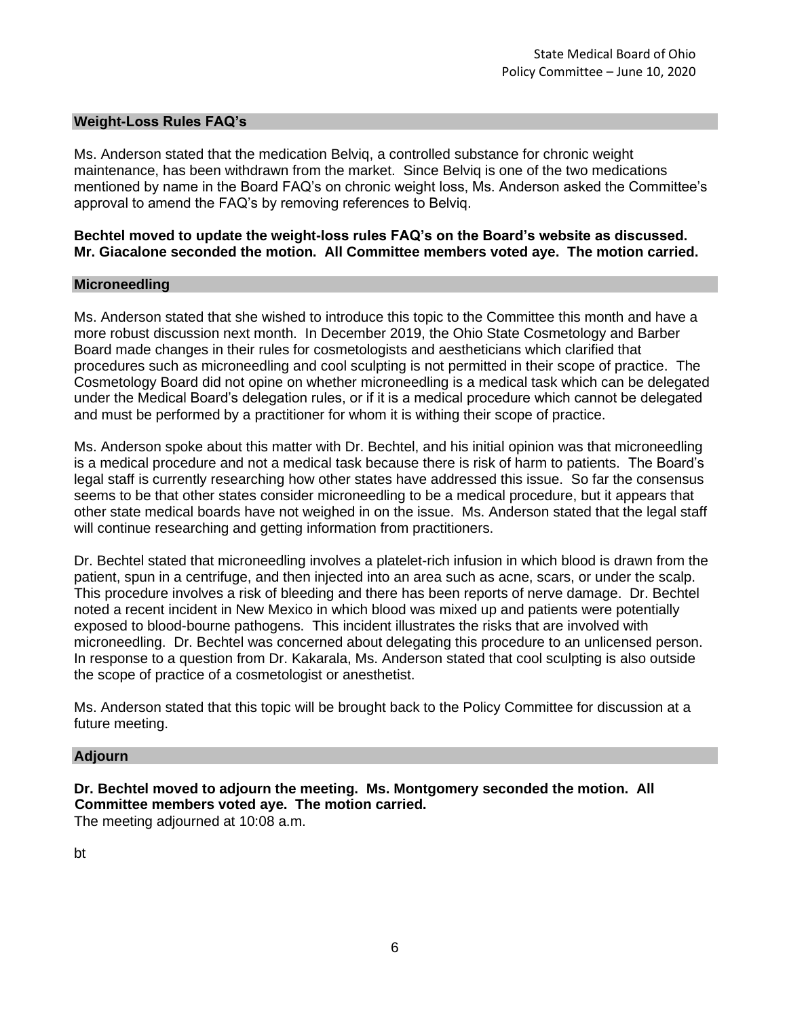#### **Weight-Loss Rules FAQ's**

Ms. Anderson stated that the medication Belviq, a controlled substance for chronic weight maintenance, has been withdrawn from the market. Since Belviq is one of the two medications mentioned by name in the Board FAQ's on chronic weight loss, Ms. Anderson asked the Committee's approval to amend the FAQ's by removing references to Belviq.

#### **Bechtel moved to update the weight-loss rules FAQ's on the Board's website as discussed. Mr. Giacalone seconded the motion. All Committee members voted aye. The motion carried.**

#### **Microneedling**

Ms. Anderson stated that she wished to introduce this topic to the Committee this month and have a more robust discussion next month. In December 2019, the Ohio State Cosmetology and Barber Board made changes in their rules for cosmetologists and aestheticians which clarified that procedures such as microneedling and cool sculpting is not permitted in their scope of practice. The Cosmetology Board did not opine on whether microneedling is a medical task which can be delegated under the Medical Board's delegation rules, or if it is a medical procedure which cannot be delegated and must be performed by a practitioner for whom it is withing their scope of practice.

Ms. Anderson spoke about this matter with Dr. Bechtel, and his initial opinion was that microneedling is a medical procedure and not a medical task because there is risk of harm to patients. The Board's legal staff is currently researching how other states have addressed this issue. So far the consensus seems to be that other states consider microneedling to be a medical procedure, but it appears that other state medical boards have not weighed in on the issue. Ms. Anderson stated that the legal staff will continue researching and getting information from practitioners.

Dr. Bechtel stated that microneedling involves a platelet-rich infusion in which blood is drawn from the patient, spun in a centrifuge, and then injected into an area such as acne, scars, or under the scalp. This procedure involves a risk of bleeding and there has been reports of nerve damage. Dr. Bechtel noted a recent incident in New Mexico in which blood was mixed up and patients were potentially exposed to blood-bourne pathogens. This incident illustrates the risks that are involved with microneedling. Dr. Bechtel was concerned about delegating this procedure to an unlicensed person. In response to a question from Dr. Kakarala, Ms. Anderson stated that cool sculpting is also outside the scope of practice of a cosmetologist or anesthetist.

Ms. Anderson stated that this topic will be brought back to the Policy Committee for discussion at a future meeting.

#### **Adjourn**

**Dr. Bechtel moved to adjourn the meeting. Ms. Montgomery seconded the motion. All Committee members voted aye. The motion carried.**

The meeting adjourned at 10:08 a.m.

bt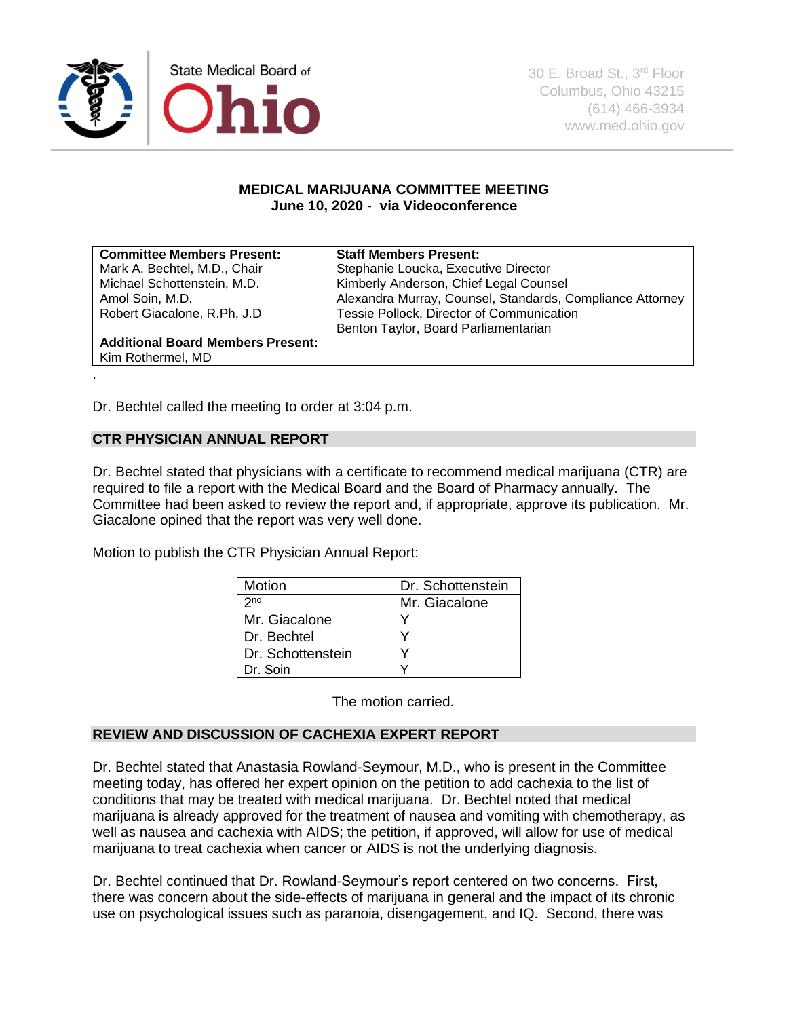

#### **MEDICAL MARIJUANA COMMITTEE MEETING June 10, 2020** - **via Videoconference**

| <b>Committee Members Present:</b>        | <b>Staff Members Present:</b>                             |
|------------------------------------------|-----------------------------------------------------------|
| Mark A. Bechtel, M.D., Chair             | Stephanie Loucka, Executive Director                      |
| Michael Schottenstein, M.D.              | Kimberly Anderson, Chief Legal Counsel                    |
| Amol Soin, M.D.                          | Alexandra Murray, Counsel, Standards, Compliance Attorney |
| Robert Giacalone, R.Ph, J.D.             | Tessie Pollock, Director of Communication                 |
|                                          | Benton Taylor, Board Parliamentarian                      |
| <b>Additional Board Members Present:</b> |                                                           |
| Kim Rothermel, MD                        |                                                           |
|                                          |                                                           |

Dr. Bechtel called the meeting to order at 3:04 p.m.

### **CTR PHYSICIAN ANNUAL REPORT**

Dr. Bechtel stated that physicians with a certificate to recommend medical marijuana (CTR) are required to file a report with the Medical Board and the Board of Pharmacy annually. The Committee had been asked to review the report and, if appropriate, approve its publication. Mr. Giacalone opined that the report was very well done.

Motion to publish the CTR Physician Annual Report:

| Motion            | Dr. Schottenstein |
|-------------------|-------------------|
| 2 <sub>nd</sub>   | Mr. Giacalone     |
| Mr. Giacalone     |                   |
| Dr. Bechtel       |                   |
| Dr. Schottenstein |                   |
| Dr. Soin          |                   |

The motion carried.

#### **REVIEW AND DISCUSSION OF CACHEXIA EXPERT REPORT**

Dr. Bechtel stated that Anastasia Rowland-Seymour, M.D., who is present in the Committee meeting today, has offered her expert opinion on the petition to add cachexia to the list of conditions that may be treated with medical marijuana. Dr. Bechtel noted that medical marijuana is already approved for the treatment of nausea and vomiting with chemotherapy, as well as nausea and cachexia with AIDS; the petition, if approved, will allow for use of medical marijuana to treat cachexia when cancer or AIDS is not the underlying diagnosis.

Dr. Bechtel continued that Dr. Rowland-Seymour's report centered on two concerns. First, there was concern about the side-effects of marijuana in general and the impact of its chronic use on psychological issues such as paranoia, disengagement, and IQ. Second, there was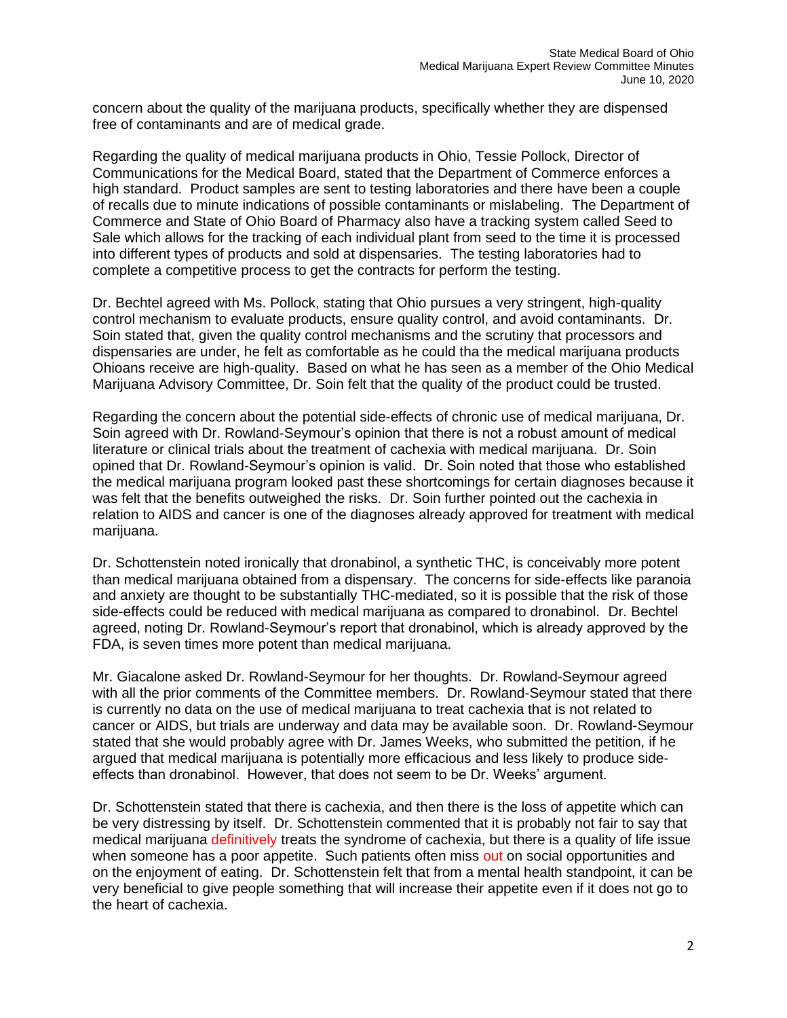concern about the quality of the marijuana products, specifically whether they are dispensed free of contaminants and are of medical grade.

Regarding the quality of medical marijuana products in Ohio, Tessie Pollock, Director of Communications for the Medical Board, stated that the Department of Commerce enforces a high standard. Product samples are sent to testing laboratories and there have been a couple of recalls due to minute indications of possible contaminants or mislabeling. The Department of Commerce and State of Ohio Board of Pharmacy also have a tracking system called Seed to Sale which allows for the tracking of each individual plant from seed to the time it is processed into different types of products and sold at dispensaries. The testing laboratories had to complete a competitive process to get the contracts for perform the testing.

Dr. Bechtel agreed with Ms. Pollock, stating that Ohio pursues a very stringent, high-quality control mechanism to evaluate products, ensure quality control, and avoid contaminants. Dr. Soin stated that, given the quality control mechanisms and the scrutiny that processors and dispensaries are under, he felt as comfortable as he could tha the medical marijuana products Ohioans receive are high-quality. Based on what he has seen as a member of the Ohio Medical Marijuana Advisory Committee, Dr. Soin felt that the quality of the product could be trusted.

Regarding the concern about the potential side-effects of chronic use of medical marijuana, Dr. Soin agreed with Dr. Rowland-Seymour's opinion that there is not a robust amount of medical literature or clinical trials about the treatment of cachexia with medical marijuana. Dr. Soin opined that Dr. Rowland-Seymour's opinion is valid. Dr. Soin noted that those who established the medical marijuana program looked past these shortcomings for certain diagnoses because it was felt that the benefits outweighed the risks. Dr. Soin further pointed out the cachexia in relation to AIDS and cancer is one of the diagnoses already approved for treatment with medical marijuana.

Dr. Schottenstein noted ironically that dronabinol, a synthetic THC, is conceivably more potent than medical marijuana obtained from a dispensary. The concerns for side-effects like paranoia and anxiety are thought to be substantially THC-mediated, so it is possible that the risk of those side-effects could be reduced with medical marijuana as compared to dronabinol. Dr. Bechtel agreed, noting Dr. Rowland-Seymour's report that dronabinol, which is already approved by the FDA, is seven times more potent than medical marijuana.

Mr. Giacalone asked Dr. Rowland-Seymour for her thoughts. Dr. Rowland-Seymour agreed with all the prior comments of the Committee members. Dr. Rowland-Seymour stated that there is currently no data on the use of medical marijuana to treat cachexia that is not related to cancer or AIDS, but trials are underway and data may be available soon. Dr. Rowland-Seymour stated that she would probably agree with Dr. James Weeks, who submitted the petition, if he argued that medical marijuana is potentially more efficacious and less likely to produce sideeffects than dronabinol. However, that does not seem to be Dr. Weeks' argument.

Dr. Schottenstein stated that there is cachexia, and then there is the loss of appetite which can be very distressing by itself. Dr. Schottenstein commented that it is probably not fair to say that medical marijuana definitively treats the syndrome of cachexia, but there is a quality of life issue when someone has a poor appetite. Such patients often miss out on social opportunities and on the enjoyment of eating. Dr. Schottenstein felt that from a mental health standpoint, it can be very beneficial to give people something that will increase their appetite even if it does not go to the heart of cachexia.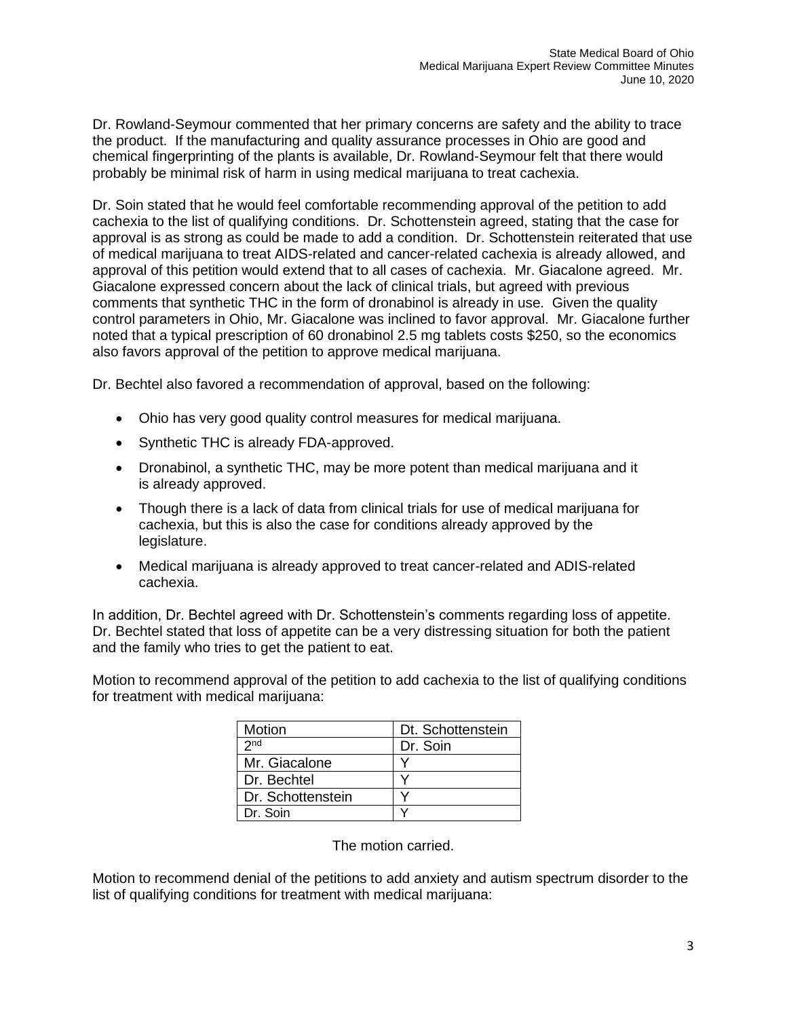Dr. Rowland-Seymour commented that her primary concerns are safety and the ability to trace the product. If the manufacturing and quality assurance processes in Ohio are good and chemical fingerprinting of the plants is available, Dr. Rowland-Seymour felt that there would probably be minimal risk of harm in using medical marijuana to treat cachexia.

Dr. Soin stated that he would feel comfortable recommending approval of the petition to add cachexia to the list of qualifying conditions. Dr. Schottenstein agreed, stating that the case for approval is as strong as could be made to add a condition. Dr. Schottenstein reiterated that use of medical marijuana to treat AIDS-related and cancer-related cachexia is already allowed, and approval of this petition would extend that to all cases of cachexia. Mr. Giacalone agreed. Mr. Giacalone expressed concern about the lack of clinical trials, but agreed with previous comments that synthetic THC in the form of dronabinol is already in use. Given the quality control parameters in Ohio, Mr. Giacalone was inclined to favor approval. Mr. Giacalone further noted that a typical prescription of 60 dronabinol 2.5 mg tablets costs \$250, so the economics also favors approval of the petition to approve medical marijuana.

Dr. Bechtel also favored a recommendation of approval, based on the following:

- Ohio has very good quality control measures for medical marijuana.
- Synthetic THC is already FDA-approved.
- Dronabinol, a synthetic THC, may be more potent than medical marijuana and it is already approved.
- Though there is a lack of data from clinical trials for use of medical marijuana for cachexia, but this is also the case for conditions already approved by the legislature.
- Medical marijuana is already approved to treat cancer-related and ADIS-related cachexia.

In addition, Dr. Bechtel agreed with Dr. Schottenstein's comments regarding loss of appetite. Dr. Bechtel stated that loss of appetite can be a very distressing situation for both the patient and the family who tries to get the patient to eat.

Motion to recommend approval of the petition to add cachexia to the list of qualifying conditions for treatment with medical marijuana:

| Motion            | Dt. Schottenstein |
|-------------------|-------------------|
| 2 <sub>nd</sub>   | Dr. Soin          |
| Mr. Giacalone     |                   |
| Dr. Bechtel       |                   |
| Dr. Schottenstein |                   |
| Dr. Soin          |                   |

The motion carried.

Motion to recommend denial of the petitions to add anxiety and autism spectrum disorder to the list of qualifying conditions for treatment with medical marijuana: